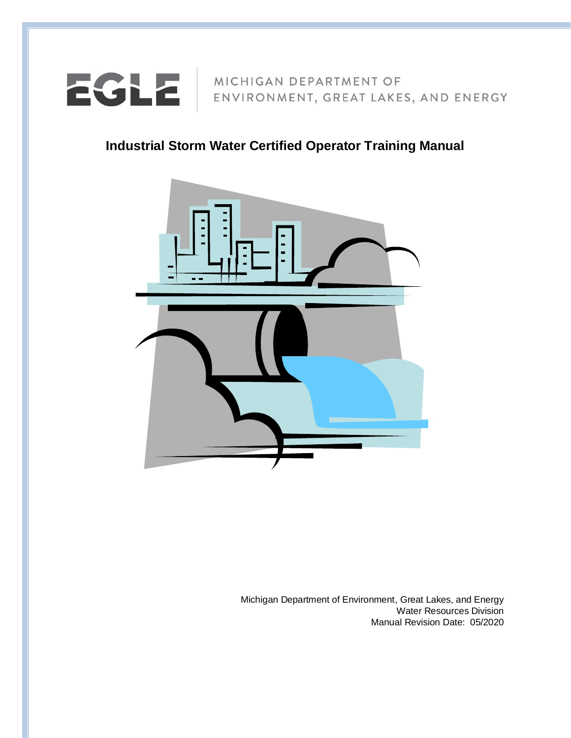

**Industrial Storm Water Certified Operator Training Manual**



Michigan Department of Environment, Great Lakes, and Energy Water Resources Division Manual Revision Date: 05/2020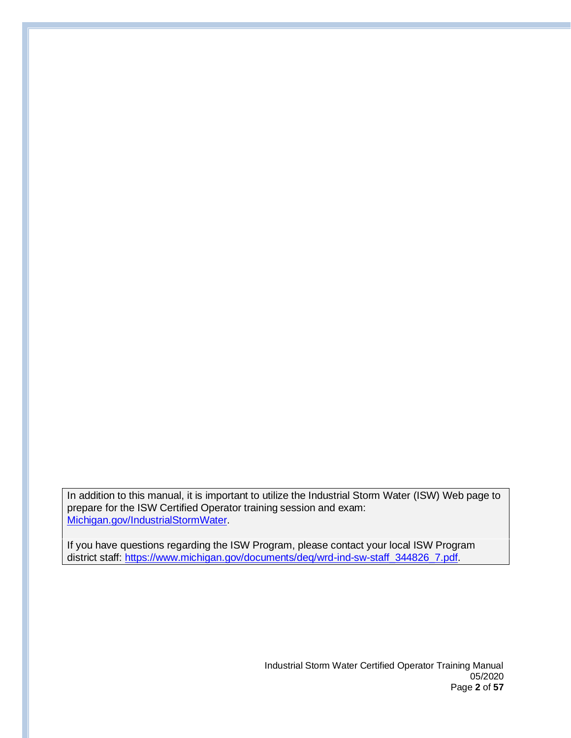In addition to this manual, it is important to utilize the Industrial Storm Water (ISW) Web page to prepare for the ISW Certified Operator training session and exam: [Michigan.gov/IndustrialStormWater.](http://michigan.gov/IndustrialStormwater)

If you have questions regarding the ISW Program, please contact your local ISW Program district staff: [https://www.michigan.gov/documents/deq/wrd-ind-sw-staff\\_344826\\_7.pdf.](https://www.michigan.gov/documents/deq/wrd-ind-sw-staff_344826_7.pdf)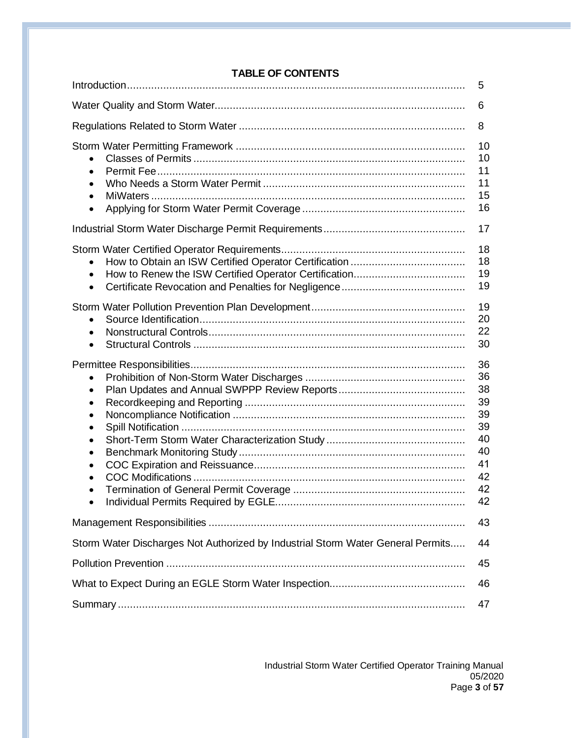|                                                                                         | 5                                                                    |  |
|-----------------------------------------------------------------------------------------|----------------------------------------------------------------------|--|
| 6                                                                                       |                                                                      |  |
|                                                                                         | 8                                                                    |  |
| $\bullet$<br>$\bullet$<br>$\bullet$<br>$\bullet$                                        | 10<br>10<br>11<br>11<br>15<br>16                                     |  |
|                                                                                         | 17                                                                   |  |
| $\bullet$<br>$\bullet$                                                                  | 18<br>18<br>19<br>19                                                 |  |
| $\bullet$<br>$\bullet$<br>$\bullet$                                                     | 19<br>20<br>22<br>30                                                 |  |
| $\bullet$<br>$\bullet$<br>$\bullet$<br>$\bullet$<br>$\bullet$<br>$\bullet$<br>$\bullet$ | 36<br>36<br>38<br>39<br>39<br>39<br>40<br>40<br>41<br>42<br>42<br>42 |  |
|                                                                                         | 43                                                                   |  |
| Storm Water Discharges Not Authorized by Industrial Storm Water General Permits         | 44                                                                   |  |
| 45                                                                                      |                                                                      |  |
| 46                                                                                      |                                                                      |  |
| 47                                                                                      |                                                                      |  |

# **TABLE OF CONTENTS**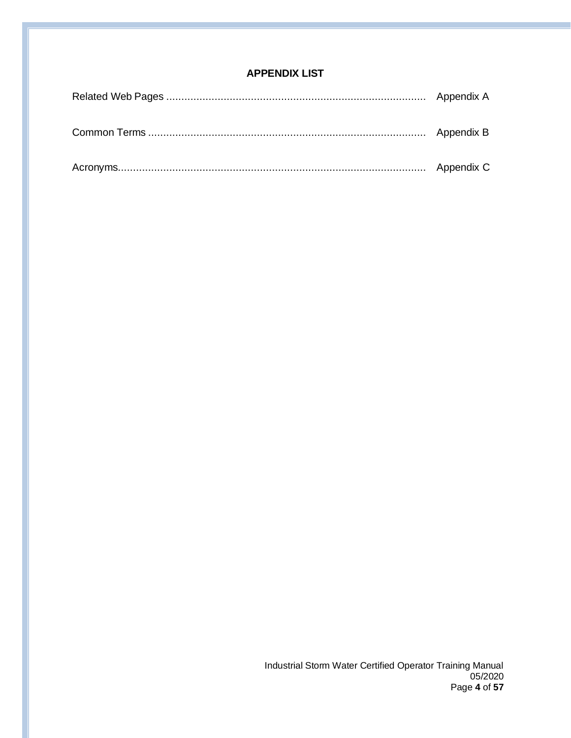# **APPENDIX LIST**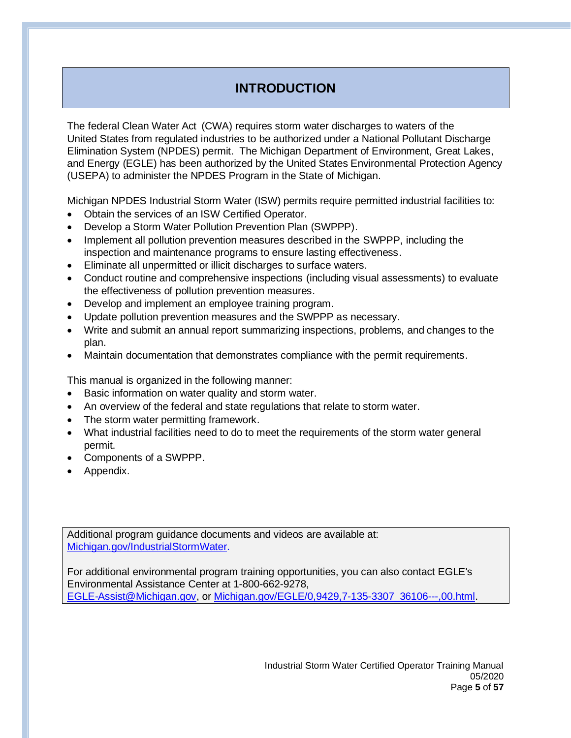# **INTRODUCTION**

The federal Clean Water Act (CWA) requires storm water discharges to waters of the United States from regulated industries to be authorized under a National Pollutant Discharge Elimination System (NPDES) permit. The Michigan Department of Environment, Great Lakes, and Energy (EGLE) has been authorized by the United States Environmental Protection Agency (USEPA) to administer the NPDES Program in the State of Michigan.

Michigan NPDES Industrial Storm Water (ISW) permits require permitted industrial facilities to:

- Obtain the services of an ISW Certified Operator.
- Develop a Storm Water Pollution Prevention Plan (SWPPP).
- Implement all pollution prevention measures described in the SWPPP, including the inspection and maintenance programs to ensure lasting effectiveness.
- Eliminate all unpermitted or illicit discharges to surface waters.
- Conduct routine and comprehensive inspections (including visual assessments) to evaluate the effectiveness of pollution prevention measures.
- Develop and implement an employee training program.
- Update pollution prevention measures and the SWPPP as necessary.
- Write and submit an annual report summarizing inspections, problems, and changes to the plan.
- Maintain documentation that demonstrates compliance with the permit requirements.

This manual is organized in the following manner:

- Basic information on water quality and storm water.
- An overview of the federal and state regulations that relate to storm water.
- The storm water permitting framework.
- What industrial facilities need to do to meet the requirements of the storm water general permit.
- Components of a SWPPP.
- Appendix.

Additional program guidance documents and videos are available at: [Michigan.gov/IndustrialStormWater.](http://michigan.gov/IndustrialStormwater)

For additional environmental program training opportunities, you can also contact EGLE's Environmental Assistance Center at 1-800-662-9278, [EGLE-Assist@Michigan.gov,](mailto:EGLE-Assist@Michigan.gov) or [Michigan.gov/EGLE/0,9429,7-135-3307\\_36106---,00.html.](https://www.michigan.gov/egle/0,9429,7-135-3307_36106---,00.html)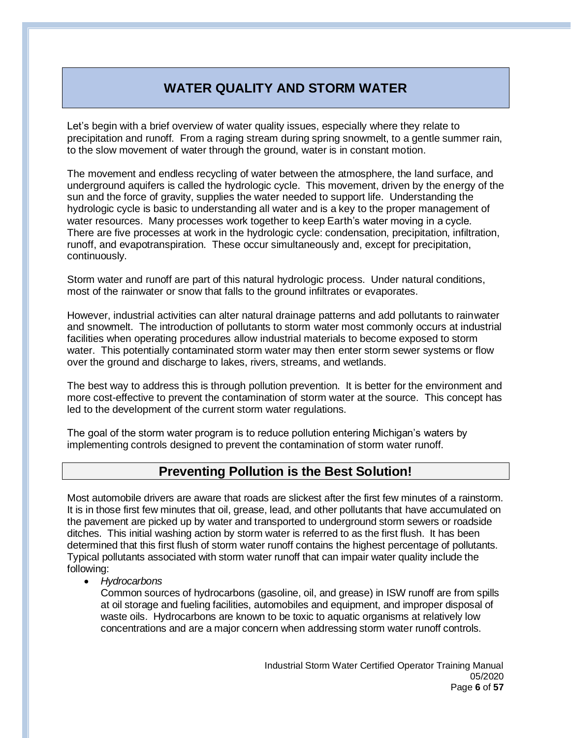# **WATER QUALITY AND STORM WATER**

Let's begin with a brief overview of water quality issues, especially where they relate to precipitation and runoff. From a raging stream during spring snowmelt, to a gentle summer rain, to the slow movement of water through the ground, water is in constant motion.

The movement and endless recycling of water between the atmosphere, the land surface, and underground aquifers is called the hydrologic cycle. This movement, driven by the energy of the sun and the force of gravity, supplies the water needed to support life. Understanding the hydrologic cycle is basic to understanding all water and is a key to the proper management of water resources. Many processes work together to keep Earth's water moving in a cycle. There are five processes at work in the hydrologic cycle: condensation, precipitation, infiltration, runoff, and evapotranspiration. These occur simultaneously and, except for precipitation, continuously.

Storm water and runoff are part of this natural hydrologic process. Under natural conditions, most of the rainwater or snow that falls to the ground infiltrates or evaporates.

However, industrial activities can alter natural drainage patterns and add pollutants to rainwater and snowmelt. The introduction of pollutants to storm water most commonly occurs at industrial facilities when operating procedures allow industrial materials to become exposed to storm water. This potentially contaminated storm water may then enter storm sewer systems or flow over the ground and discharge to lakes, rivers, streams, and wetlands.

The best way to address this is through pollution prevention. It is better for the environment and more cost-effective to prevent the contamination of storm water at the source. This concept has led to the development of the current storm water regulations.

The goal of the storm water program is to reduce pollution entering Michigan's waters by implementing controls designed to prevent the contamination of storm water runoff.

# **Preventing Pollution is the Best Solution!**

Most automobile drivers are aware that roads are slickest after the first few minutes of a rainstorm. It is in those first few minutes that oil, grease, lead, and other pollutants that have accumulated on the pavement are picked up by water and transported to underground storm sewers or roadside ditches. This initial washing action by storm water is referred to as the first flush. It has been determined that this first flush of storm water runoff contains the highest percentage of pollutants. Typical pollutants associated with storm water runoff that can impair water quality include the following:

• *Hydrocarbons*

Common sources of hydrocarbons (gasoline, oil, and grease) in ISW runoff are from spills at oil storage and fueling facilities, automobiles and equipment, and improper disposal of waste oils. Hydrocarbons are known to be toxic to aquatic organisms at relatively low concentrations and are a major concern when addressing storm water runoff controls.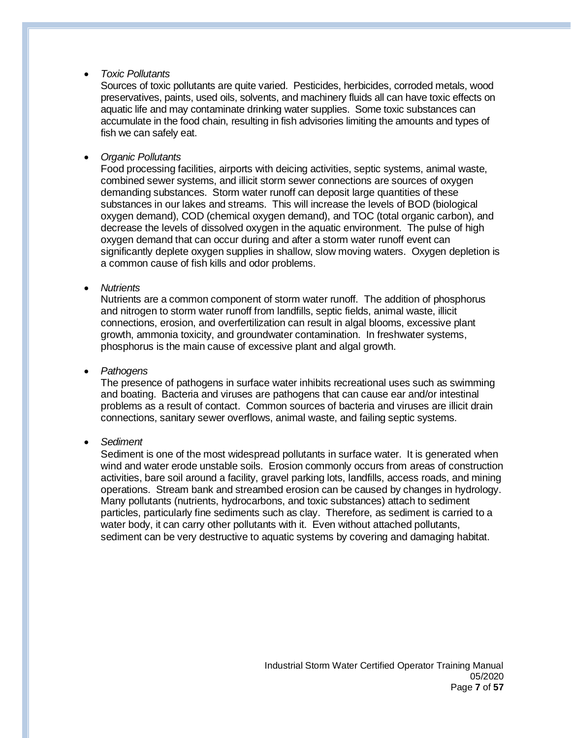• *Toxic Pollutants*

Sources of toxic pollutants are quite varied. Pesticides, herbicides, corroded metals, wood preservatives, paints, used oils, solvents, and machinery fluids all can have toxic effects on aquatic life and may contaminate drinking water supplies. Some toxic substances can accumulate in the food chain, resulting in fish advisories limiting the amounts and types of fish we can safely eat.

• *Organic Pollutants*

Food processing facilities, airports with deicing activities, septic systems, animal waste, combined sewer systems, and illicit storm sewer connections are sources of oxygen demanding substances. Storm water runoff can deposit large quantities of these substances in our lakes and streams. This will increase the levels of BOD (biological oxygen demand), COD (chemical oxygen demand), and TOC (total organic carbon), and decrease the levels of dissolved oxygen in the aquatic environment. The pulse of high oxygen demand that can occur during and after a storm water runoff event can significantly deplete oxygen supplies in shallow, slow moving waters. Oxygen depletion is a common cause of fish kills and odor problems.

• *Nutrients*

Nutrients are a common component of storm water runoff. The addition of phosphorus and nitrogen to storm water runoff from landfills, septic fields, animal waste, illicit connections, erosion, and overfertilization can result in algal blooms, excessive plant growth, ammonia toxicity, and groundwater contamination. In freshwater systems, phosphorus is the main cause of excessive plant and algal growth.

• *Pathogens*

The presence of pathogens in surface water inhibits recreational uses such as swimming and boating. Bacteria and viruses are pathogens that can cause ear and/or intestinal problems as a result of contact. Common sources of bacteria and viruses are illicit drain connections, sanitary sewer overflows, animal waste, and failing septic systems.

• *Sediment*

Sediment is one of the most widespread pollutants in surface water. It is generated when wind and water erode unstable soils. Erosion commonly occurs from areas of construction activities, bare soil around a facility, gravel parking lots, landfills, access roads, and mining operations. Stream bank and streambed erosion can be caused by changes in hydrology. Many pollutants (nutrients, hydrocarbons, and toxic substances) attach to sediment particles, particularly fine sediments such as clay. Therefore, as sediment is carried to a water body, it can carry other pollutants with it. Even without attached pollutants, sediment can be very destructive to aquatic systems by covering and damaging habitat.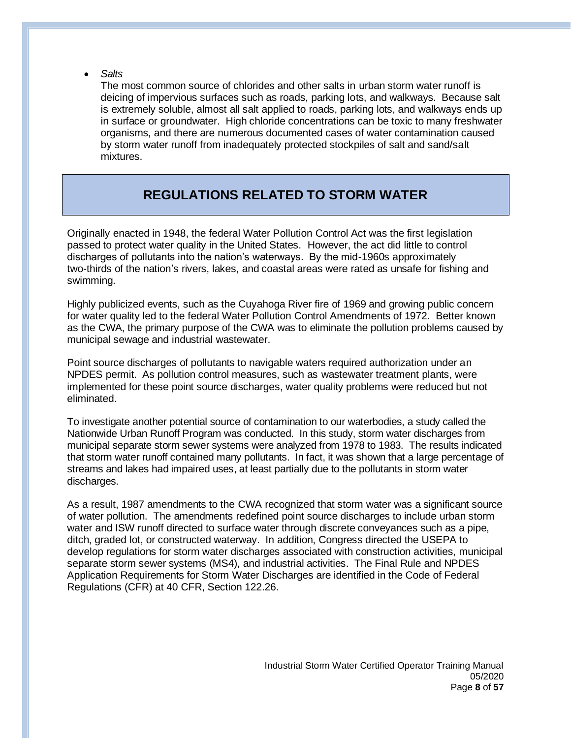• *Salts*

The most common source of chlorides and other salts in urban storm water runoff is deicing of impervious surfaces such as roads, parking lots, and walkways. Because salt is extremely soluble, almost all salt applied to roads, parking lots, and walkways ends up in surface or groundwater. High chloride concentrations can be toxic to many freshwater organisms, and there are numerous documented cases of water contamination caused by storm water runoff from inadequately protected stockpiles of salt and sand/salt mixtures.

# **REGULATIONS RELATED TO STORM WATER**

Originally enacted in 1948, the federal Water Pollution Control Act was the first legislation passed to protect water quality in the United States. However, the act did little to control discharges of pollutants into the nation's waterways. By the mid-1960s approximately two-thirds of the nation's rivers, lakes, and coastal areas were rated as unsafe for fishing and swimming.

Highly publicized events, such as the Cuyahoga River fire of 1969 and growing public concern for water quality led to the federal Water Pollution Control Amendments of 1972. Better known as the CWA, the primary purpose of the CWA was to eliminate the pollution problems caused by municipal sewage and industrial wastewater.

Point source discharges of pollutants to navigable waters required authorization under an NPDES permit. As pollution control measures, such as wastewater treatment plants, were implemented for these point source discharges, water quality problems were reduced but not eliminated.

To investigate another potential source of contamination to our waterbodies, a study called the Nationwide Urban Runoff Program was conducted. In this study, storm water discharges from municipal separate storm sewer systems were analyzed from 1978 to 1983. The results indicated that storm water runoff contained many pollutants. In fact, it was shown that a large percentage of streams and lakes had impaired uses, at least partially due to the pollutants in storm water discharges.

As a result, 1987 amendments to the CWA recognized that storm water was a significant source of water pollution. The amendments redefined point source discharges to include urban storm water and ISW runoff directed to surface water through discrete conveyances such as a pipe, ditch, graded lot, or constructed waterway. In addition, Congress directed the USEPA to develop regulations for storm water discharges associated with construction activities, municipal separate storm sewer systems (MS4), and industrial activities. The Final Rule and NPDES Application Requirements for Storm Water Discharges are identified in the Code of Federal Regulations (CFR) at 40 CFR, Section 122.26.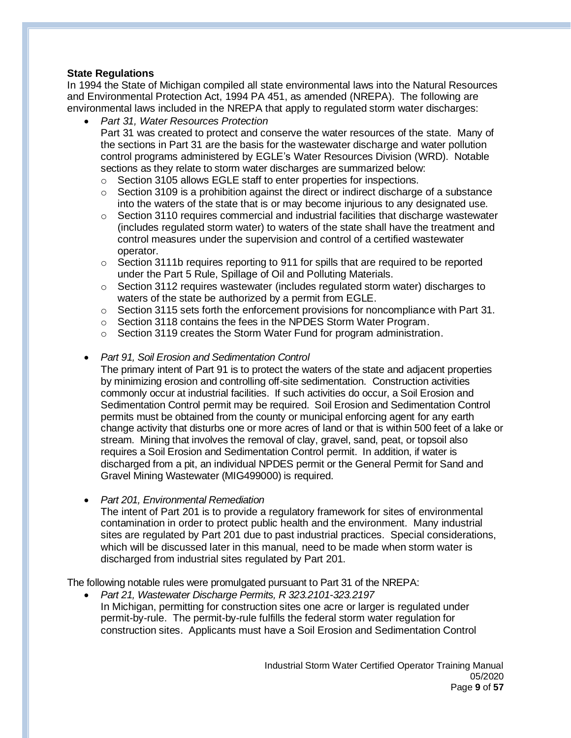## **State Regulations**

In 1994 the State of Michigan compiled all state environmental laws into the Natural Resources and Environmental Protection Act, 1994 PA 451, as amended (NREPA). The following are environmental laws included in the NREPA that apply to regulated storm water discharges:

- *Part 31, Water Resources Protection*
	- Part 31 was created to protect and conserve the water resources of the state. Many of the sections in Part 31 are the basis for the wastewater discharge and water pollution control programs administered by EGLE's Water Resources Division (WRD). Notable sections as they relate to storm water discharges are summarized below:
		- o Section 3105 allows EGLE staff to enter properties for inspections.
		- $\circ$  Section 3109 is a prohibition against the direct or indirect discharge of a substance into the waters of the state that is or may become injurious to any designated use.
		- o Section 3110 requires commercial and industrial facilities that discharge wastewater (includes regulated storm water) to waters of the state shall have the treatment and control measures under the supervision and control of a certified wastewater operator.
		- $\circ$  Section 3111b requires reporting to 911 for spills that are required to be reported under the Part 5 Rule, Spillage of Oil and Polluting Materials.
		- $\circ$  Section 3112 requires wastewater (includes regulated storm water) discharges to waters of the state be authorized by a permit from EGLE.
	- o Section 3115 sets forth the enforcement provisions for noncompliance with Part 31.
	- o Section 3118 contains the fees in the NPDES Storm Water Program.
	- o Section 3119 creates the Storm Water Fund for program administration.
- *Part 91, Soil Erosion and Sedimentation Control*

The primary intent of Part 91 is to protect the waters of the state and adjacent properties by minimizing erosion and controlling off-site sedimentation. Construction activities commonly occur at industrial facilities. If such activities do occur, a Soil Erosion and Sedimentation Control permit may be required. Soil Erosion and Sedimentation Control permits must be obtained from the county or municipal enforcing agent for any earth change activity that disturbs one or more acres of land or that is within 500 feet of a lake or stream. Mining that involves the removal of clay, gravel, sand, peat, or topsoil also requires a Soil Erosion and Sedimentation Control permit. In addition, if water is discharged from a pit, an individual NPDES permit or the General Permit for Sand and Gravel Mining Wastewater (MIG499000) is required.

• *Part 201, Environmental Remediation*

The intent of Part 201 is to provide a regulatory framework for sites of environmental contamination in order to protect public health and the environment. Many industrial sites are regulated by Part 201 due to past industrial practices. Special considerations, which will be discussed later in this manual, need to be made when storm water is discharged from industrial sites regulated by Part 201.

The following notable rules were promulgated pursuant to Part 31 of the NREPA:

• *Part 21, Wastewater Discharge Permits, R 323.2101-323.2197* In Michigan, permitting for construction sites one acre or larger is regulated under permit-by-rule. The permit-by-rule fulfills the federal storm water regulation for construction sites. Applicants must have a Soil Erosion and Sedimentation Control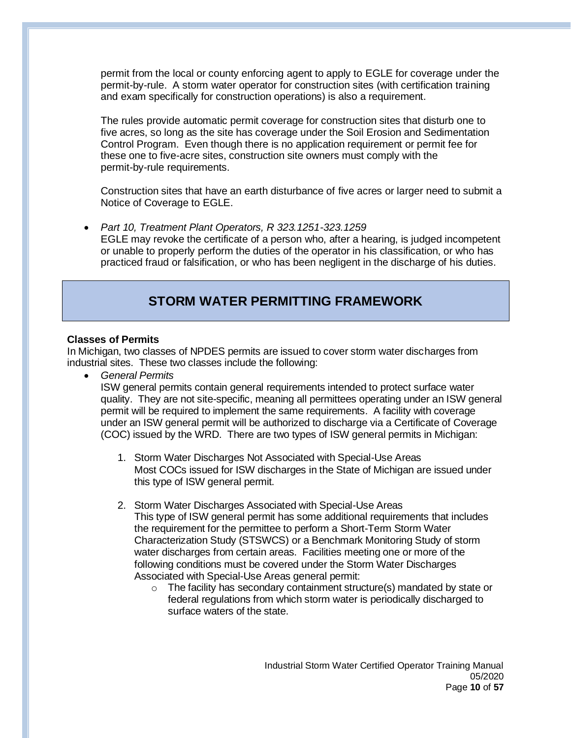permit from the local or county enforcing agent to apply to EGLE for coverage under the permit-by-rule. A storm water operator for construction sites (with certification training and exam specifically for construction operations) is also a requirement.

The rules provide automatic permit coverage for construction sites that disturb one to five acres, so long as the site has coverage under the Soil Erosion and Sedimentation Control Program. Even though there is no application requirement or permit fee for these one to five-acre sites, construction site owners must comply with the permit-by-rule requirements.

Construction sites that have an earth disturbance of five acres or larger need to submit a Notice of Coverage to EGLE.

• *Part 10, Treatment Plant Operators, R 323.1251-323.1259* EGLE may revoke the certificate of a person who, after a hearing, is judged incompetent or unable to properly perform the duties of the operator in his classification, or who has practiced fraud or falsification, or who has been negligent in the discharge of his duties.

# **STORM WATER PERMITTING FRAMEWORK**

## **Classes of Permits**

In Michigan, two classes of NPDES permits are issued to cover storm water discharges from industrial sites. These two classes include the following:

• *General Permits*

ISW general permits contain general requirements intended to protect surface water quality. They are not site-specific, meaning all permittees operating under an ISW general permit will be required to implement the same requirements. A facility with coverage under an ISW general permit will be authorized to discharge via a Certificate of Coverage (COC) issued by the WRD. There are two types of ISW general permits in Michigan:

- 1. Storm Water Discharges Not Associated with Special-Use Areas Most COCs issued for ISW discharges in the State of Michigan are issued under this type of ISW general permit.
- 2. Storm Water Discharges Associated with Special-Use Areas This type of ISW general permit has some additional requirements that includes the requirement for the permittee to perform a Short-Term Storm Water Characterization Study (STSWCS) or a Benchmark Monitoring Study of storm water discharges from certain areas. Facilities meeting one or more of the following conditions must be covered under the Storm Water Discharges Associated with Special-Use Areas general permit:
	- $\circ$  The facility has secondary containment structure(s) mandated by state or federal regulations from which storm water is periodically discharged to surface waters of the state.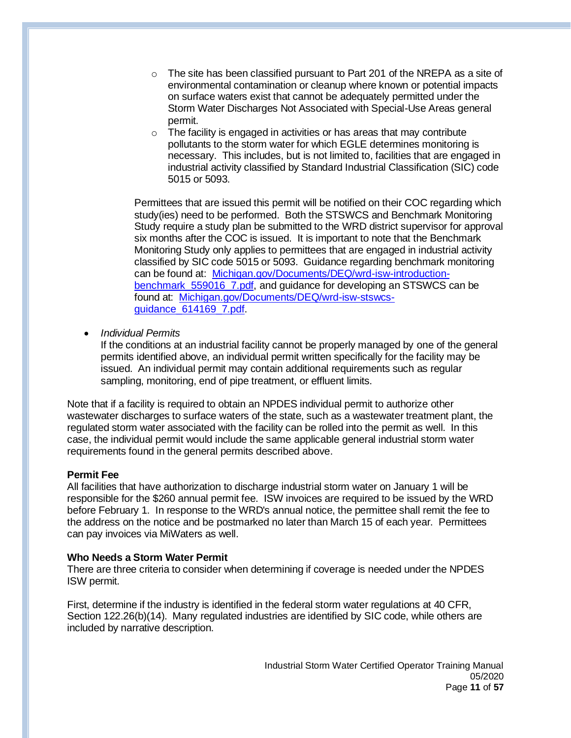- $\circ$  The site has been classified pursuant to Part 201 of the NREPA as a site of environmental contamination or cleanup where known or potential impacts on surface waters exist that cannot be adequately permitted under the Storm Water Discharges Not Associated with Special-Use Areas general permit.
- $\circ$  The facility is engaged in activities or has areas that may contribute pollutants to the storm water for which EGLE determines monitoring is necessary. This includes, but is not limited to, facilities that are engaged in industrial activity classified by Standard Industrial Classification (SIC) code 5015 or 5093.

Permittees that are issued this permit will be notified on their COC regarding which study(ies) need to be performed. Both the STSWCS and Benchmark Monitoring Study require a study plan be submitted to the WRD district supervisor for approval six months after the COC is issued. It is important to note that the Benchmark Monitoring Study only applies to permittees that are engaged in industrial activity classified by SIC code 5015 or 5093. Guidance regarding benchmark monitoring can be found at: [Michigan.gov/Documents/DEQ/wrd-isw-introduction](https://www.michigan.gov/documents/deq/wrd-isw-introduction-benchmark_559016_7.pdf)[benchmark\\_559016\\_7.pdf,](https://www.michigan.gov/documents/deq/wrd-isw-introduction-benchmark_559016_7.pdf) and guidance for developing an STSWCS can be found at: [Michigan.gov/Documents/DEQ/wrd-isw-stswcs](https://www.michigan.gov/documents/deq/wrd-isw-stswcs-guidance_614169_7.pdf)[guidance\\_614169\\_7.pdf.](https://www.michigan.gov/documents/deq/wrd-isw-stswcs-guidance_614169_7.pdf)

• *Individual Permits*

If the conditions at an industrial facility cannot be properly managed by one of the general permits identified above, an individual permit written specifically for the facility may be issued. An individual permit may contain additional requirements such as regular sampling, monitoring, end of pipe treatment, or effluent limits.

Note that if a facility is required to obtain an NPDES individual permit to authorize other wastewater discharges to surface waters of the state, such as a wastewater treatment plant, the regulated storm water associated with the facility can be rolled into the permit as well. In this case, the individual permit would include the same applicable general industrial storm water requirements found in the general permits described above.

#### **Permit Fee**

All facilities that have authorization to discharge industrial storm water on January 1 will be responsible for the \$260 annual permit fee. ISW invoices are required to be issued by the WRD before February 1. In response to the WRD's annual notice, the permittee shall remit the fee to the address on the notice and be postmarked no later than March 15 of each year. Permittees can pay invoices via MiWaters as well.

#### **Who Needs a Storm Water Permit**

There are three criteria to consider when determining if coverage is needed under the NPDES ISW permit.

First, determine if the industry is identified in the federal storm water regulations at 40 CFR, Section 122.26(b)(14). Many regulated industries are identified by SIC code, while others are included by narrative description.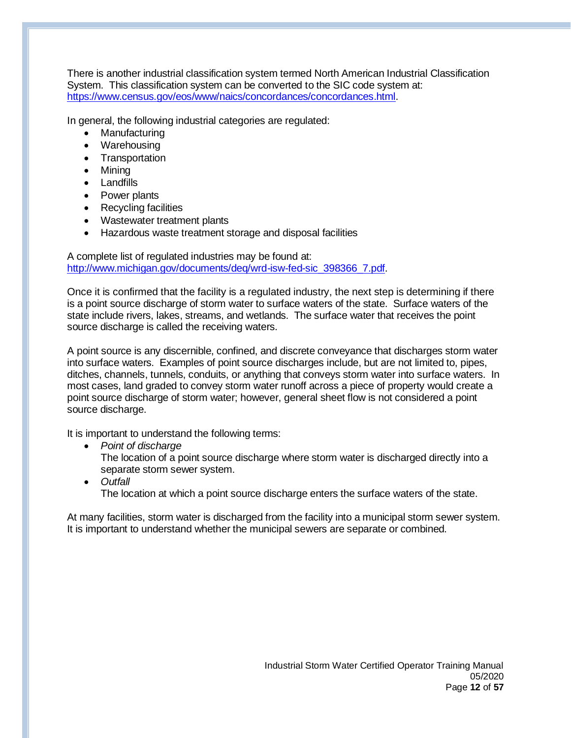There is another industrial classification system termed North American Industrial Classification System. This classification system can be converted to the SIC code system at: [https://www.census.gov/eos/www/naics/concordances/concordances.html.](https://www.census.gov/eos/www/naics/concordances/concordances.html)

In general, the following industrial categories are regulated:

- **Manufacturing**
- Warehousing
- Transportation
- Mining
- Landfills
- Power plants
- Recycling facilities
- Wastewater treatment plants
- Hazardous waste treatment storage and disposal facilities

A complete list of regulated industries may be found at: [http://www.michigan.gov/documents/deq/wrd-isw-fed-sic\\_398366\\_7.pdf.](http://www.michigan.gov/documents/deq/wrd-isw-fed-sic_398366_7.pdf)

Once it is confirmed that the facility is a regulated industry, the next step is determining if there is a point source discharge of storm water to surface waters of the state. Surface waters of the state include rivers, lakes, streams, and wetlands. The surface water that receives the point source discharge is called the receiving waters.

A point source is any discernible, confined, and discrete conveyance that discharges storm water into surface waters. Examples of point source discharges include, but are not limited to, pipes, ditches, channels, tunnels, conduits, or anything that conveys storm water into surface waters. In most cases, land graded to convey storm water runoff across a piece of property would create a point source discharge of storm water; however, general sheet flow is not considered a point source discharge.

It is important to understand the following terms:

- *Point of discharge*
	- The location of a point source discharge where storm water is discharged directly into a separate storm sewer system.
- *Outfall* The location at which a point source discharge enters the surface waters of the state.

At many facilities, storm water is discharged from the facility into a municipal storm sewer system. It is important to understand whether the municipal sewers are separate or combined.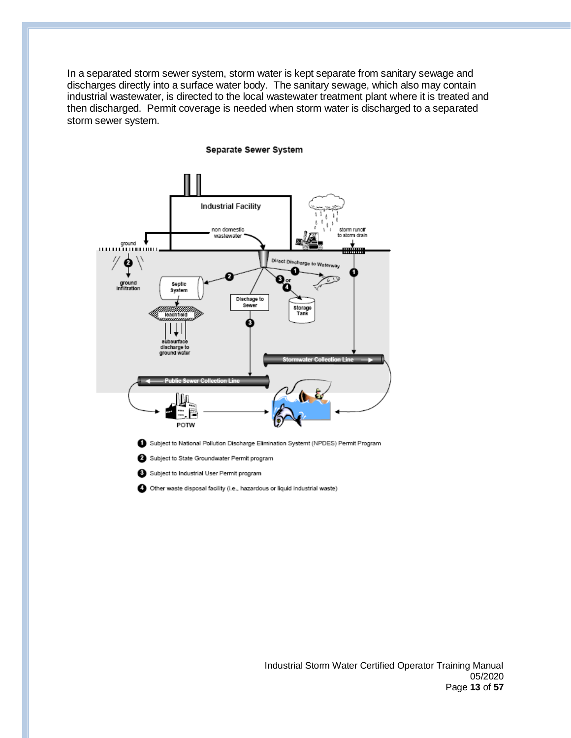In a separated storm sewer system, storm water is kept separate from sanitary sewage and discharges directly into a surface water body. The sanitary sewage, which also may contain industrial wastewater, is directed to the local wastewater treatment plant where it is treated and then discharged. Permit coverage is needed when storm water is discharged to a separated storm sewer system.

# **Industrial Facility** non domestic storm runoff wastewater storm drain ground Direct Discha מ ground<br>Inflitration Septic<br>System Dischage to<br>Sewer Storage<br>Tank З discharge to ground i POTW Subject to National Pollution Discharge Elimination Systemt (NPDES) Permit Program Subject to State Groundwater Permit program Subject to Industrial User Permit program Other waste disposal facility (i.e., hazardous or liquid industrial waste)

#### Separate Sewer System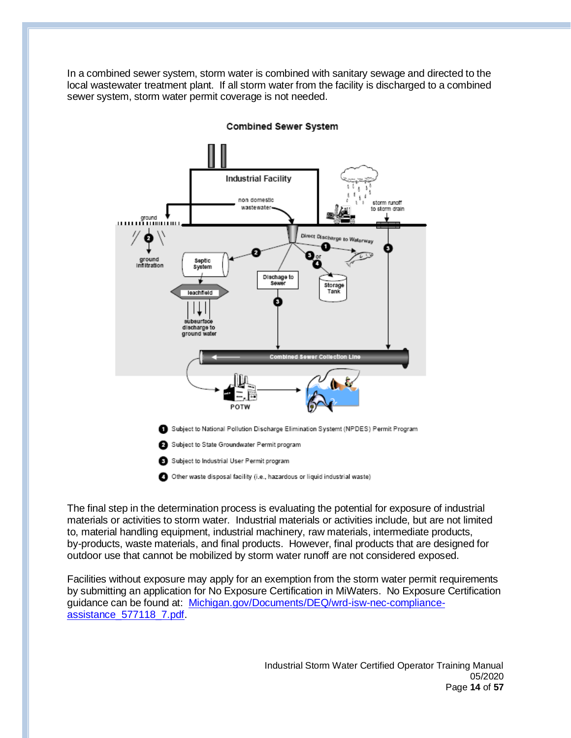In a combined sewer system, storm water is combined with sanitary sewage and directed to the local wastewater treatment plant. If all storm water from the facility is discharged to a combined sewer system, storm water permit coverage is not needed.



**Combined Sewer System** 

The final step in the determination process is evaluating the potential for exposure of industrial materials or activities to storm water. Industrial materials or activities include, but are not limited to, material handling equipment, industrial machinery, raw materials, intermediate products, by-products, waste materials, and final products. However, final products that are designed for outdoor use that cannot be mobilized by storm water runoff are not considered exposed.

Facilities without exposure may apply for an exemption from the storm water permit requirements by submitting an application for No Exposure Certification in MiWaters. No Exposure Certification guidance can be found at: [Michigan.gov/Documents/DEQ/wrd-isw-nec-compliance](https://www.michigan.gov/documents/deq/wrd-isw-nec-compliance-assistance_577118_7.pdf)[assistance\\_577118\\_7.pdf.](https://www.michigan.gov/documents/deq/wrd-isw-nec-compliance-assistance_577118_7.pdf)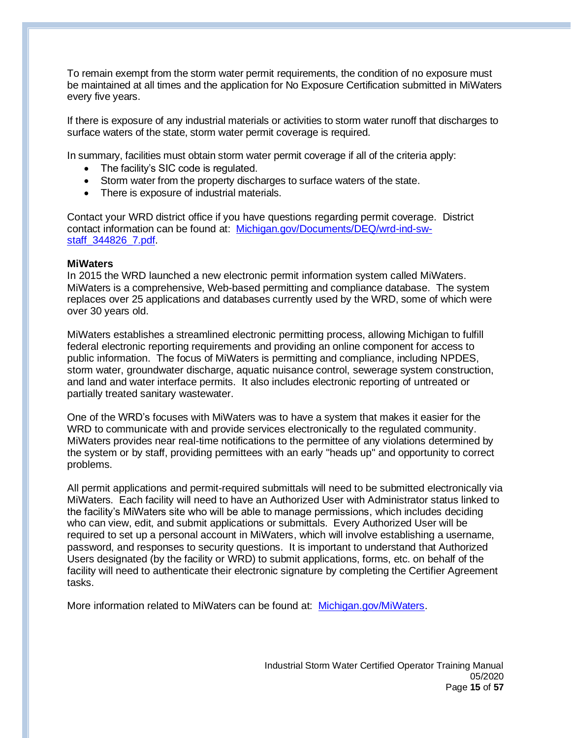To remain exempt from the storm water permit requirements, the condition of no exposure must be maintained at all times and the application for No Exposure Certification submitted in MiWaters every five years.

If there is exposure of any industrial materials or activities to storm water runoff that discharges to surface waters of the state, storm water permit coverage is required.

In summary, facilities must obtain storm water permit coverage if all of the criteria apply:

- The facility's SIC code is regulated.
- Storm water from the property discharges to surface waters of the state.
- There is exposure of industrial materials.

Contact your WRD district office if you have questions regarding permit coverage. District contact information can be found at: [Michigan.gov/Documents/DEQ/wrd-ind-sw](http://www.michigan.gov/documents/deq/wrd-ind-sw-staff_344826_7.pdf)[staff\\_344826\\_7.pdf.](http://www.michigan.gov/documents/deq/wrd-ind-sw-staff_344826_7.pdf)

#### **MiWaters**

In 2015 the WRD launched a new electronic permit information system called MiWaters. MiWaters is a comprehensive, Web-based permitting and compliance database. The system replaces over 25 applications and databases currently used by the WRD, some of which were over 30 years old.

MiWaters establishes a streamlined electronic permitting process, allowing Michigan to fulfill federal electronic reporting requirements and providing an online component for access to public information. The focus of MiWaters is permitting and compliance, including NPDES, storm water, groundwater discharge, aquatic nuisance control, sewerage system construction, and land and water interface permits. It also includes electronic reporting of untreated or partially treated sanitary wastewater.

One of the WRD's focuses with MiWaters was to have a system that makes it easier for the WRD to communicate with and provide services electronically to the regulated community. MiWaters provides near real-time notifications to the permittee of any violations determined by the system or by staff, providing permittees with an early "heads up" and opportunity to correct problems.

All permit applications and permit-required submittals will need to be submitted electronically via MiWaters. Each facility will need to have an Authorized User with Administrator status linked to the facility's MiWaters site who will be able to manage permissions, which includes deciding who can view, edit, and submit applications or submittals. Every Authorized User will be required to set up a personal account in MiWaters, which will involve establishing a username, password, and responses to security questions. It is important to understand that Authorized Users designated (by the facility or WRD) to submit applications, forms, etc. on behalf of the facility will need to authenticate their electronic signature by completing the Certifier Agreement tasks.

More information related to MiWaters can be found at: [Michigan.gov/MiWaters.](http://www.michigan.gov/miwaters)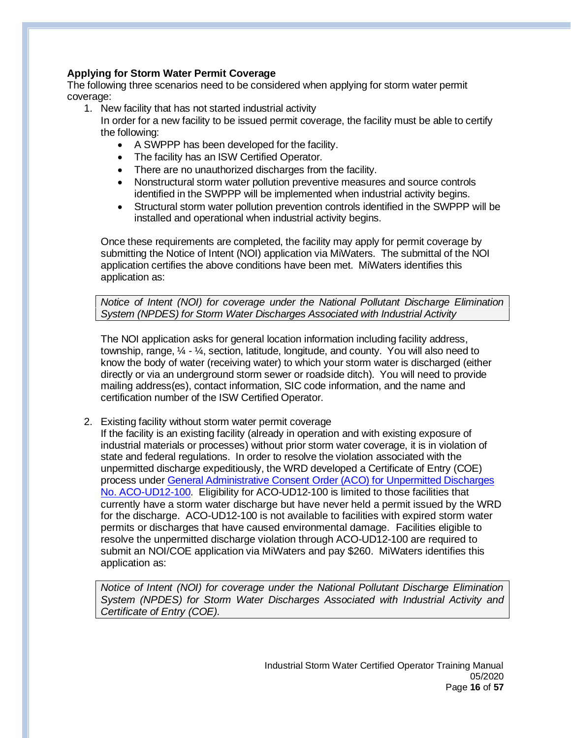# **Applying for Storm Water Permit Coverage**

The following three scenarios need to be considered when applying for storm water permit coverage:

1. New facility that has not started industrial activity

In order for a new facility to be issued permit coverage, the facility must be able to certify the following:

- A SWPPP has been developed for the facility.
- The facility has an ISW Certified Operator.
- There are no unauthorized discharges from the facility.
- Nonstructural storm water pollution preventive measures and source controls identified in the SWPPP will be implemented when industrial activity begins.
- Structural storm water pollution prevention controls identified in the SWPPP will be installed and operational when industrial activity begins.

Once these requirements are completed, the facility may apply for permit coverage by submitting the Notice of Intent (NOI) application via MiWaters. The submittal of the NOI application certifies the above conditions have been met. MiWaters identifies this application as:

*Notice of Intent (NOI) for coverage under the National Pollutant Discharge Elimination System (NPDES) for Storm Water Discharges Associated with Industrial Activity*

The NOI application asks for general location information including facility address, township, range, ¼ - ¼, section, latitude, longitude, and county. You will also need to know the body of water (receiving water) to which your storm water is discharged (either directly or via an underground storm sewer or roadside ditch). You will need to provide mailing address(es), contact information, SIC code information, and the name and certification number of the ISW Certified Operator.

2. Existing facility without storm water permit coverage

If the facility is an existing facility (already in operation and with existing exposure of industrial materials or processes) without prior storm water coverage, it is in violation of state and federal regulations. In order to resolve the violation associated with the unpermitted discharge expeditiously, the WRD developed a Certificate of Entry (COE) process under General Administrative Consent [Order \(ACO\) for Unpermitted Discharges](https://www.michigan.gov/documents/deq/deq-wrd-stormwater-ACO-Unpermitted-ACO-UD12-100_421963_7.pdf)  [No. ACO-UD12-100.](https://www.michigan.gov/documents/deq/deq-wrd-stormwater-ACO-Unpermitted-ACO-UD12-100_421963_7.pdf) Eligibility for ACO-UD12-100 is limited to those facilities that currently have a storm water discharge but have never held a permit issued by the WRD for the discharge. ACO-UD12-100 is not available to facilities with expired storm water permits or discharges that have caused environmental damage. Facilities eligible to resolve the unpermitted discharge violation through ACO-UD12-100 are required to submit an NOI/COE application via MiWaters and pay \$260. MiWaters identifies this application as:

*Notice of Intent (NOI) for coverage under the National Pollutant Discharge Elimination System (NPDES) for Storm Water Discharges Associated with Industrial Activity and Certificate of Entry (COE).*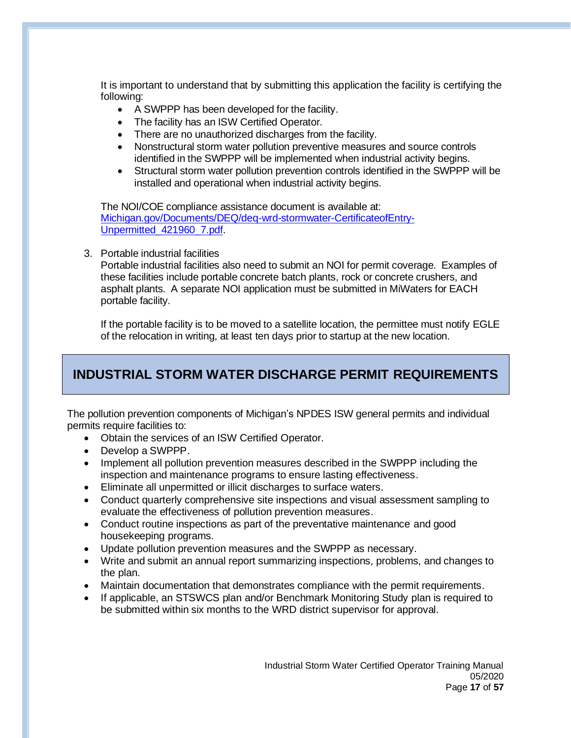It is important to understand that by submitting this application the facility is certifying the following:

- A SWPPP has been developed for the facility.
- The facility has an ISW Certified Operator.
- There are no unauthorized discharges from the facility.
- Nonstructural storm water pollution preventive measures and source controls identified in the SWPPP will be implemented when industrial activity begins.
- Structural storm water pollution prevention controls identified in the SWPPP will be installed and operational when industrial activity begins.

The NOI/COE compliance assistance document is available at: [Michigan.gov/Documents/DEQ/deq-wrd-stormwater-CertificateofEntry-](http://www.michigan.gov/documents/deq/deq-wrd-stormwater-CertificateofEntry-Unpermitted_421960_7.pdf)[Unpermitted\\_421960\\_7.pdf.](http://www.michigan.gov/documents/deq/deq-wrd-stormwater-CertificateofEntry-Unpermitted_421960_7.pdf)

3. Portable industrial facilities

Portable industrial facilities also need to submit an NOI for permit coverage. Examples of these facilities include portable concrete batch plants, rock or concrete crushers, and asphalt plants. A separate NOI application must be submitted in MiWaters for EACH portable facility.

If the portable facility is to be moved to a satellite location, the permittee must notify EGLE of the relocation in writing, at least ten days prior to startup at the new location.

# **INDUSTRIAL STORM WATER DISCHARGE PERMIT REQUIREMENTS**

The pollution prevention components of Michigan's NPDES ISW general permits and individual permits require facilities to:

- Obtain the services of an ISW Certified Operator.
- Develop a SWPPP.
- Implement all pollution prevention measures described in the SWPPP including the inspection and maintenance programs to ensure lasting effectiveness.
- Eliminate all unpermitted or illicit discharges to surface waters.
- Conduct quarterly comprehensive site inspections and visual assessment sampling to evaluate the effectiveness of pollution prevention measures.
- Conduct routine inspections as part of the preventative maintenance and good housekeeping programs.
- Update pollution prevention measures and the SWPPP as necessary.
- Write and submit an annual report summarizing inspections, problems, and changes to the plan.
- Maintain documentation that demonstrates compliance with the permit requirements.
- If applicable, an STSWCS plan and/or Benchmark Monitoring Study plan is required to be submitted within six months to the WRD district supervisor for approval.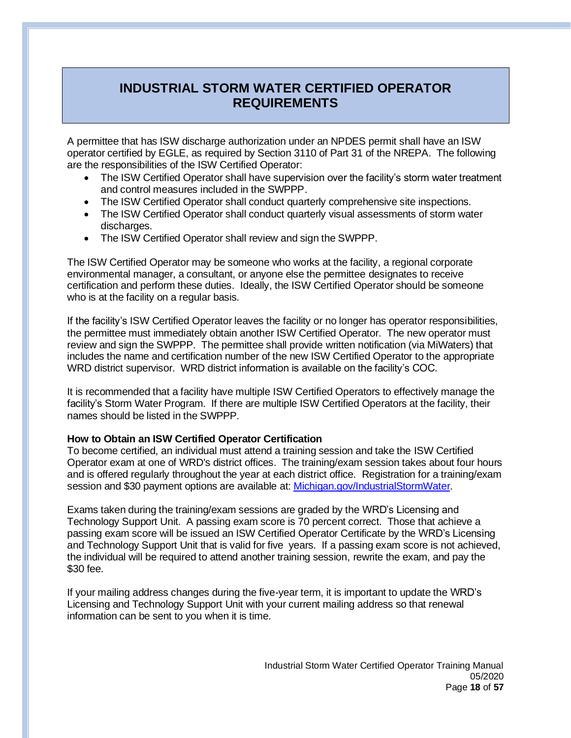# **INDUSTRIAL STORM WATER CERTIFIED OPERATOR REQUIREMENTS**

A permittee that has ISW discharge authorization under an NPDES permit shall have an ISW operator certified by EGLE, as required by Section 3110 of Part 31 of the NREPA. The following are the responsibilities of the ISW Certified Operator:

- The ISW Certified Operator shall have supervision over the facility's storm water treatment and control measures included in the SWPPP.
- The ISW Certified Operator shall conduct quarterly comprehensive site inspections.
- The ISW Certified Operator shall conduct quarterly visual assessments of storm water discharges.
- The ISW Certified Operator shall review and sign the SWPPP.

The ISW Certified Operator may be someone who works at the facility, a regional corporate environmental manager, a consultant, or anyone else the permittee designates to receive certification and perform these duties. Ideally, the ISW Certified Operator should be someone who is at the facility on a regular basis.

If the facility's ISW Certified Operator leaves the facility or no longer has operator responsibilities, the permittee must immediately obtain another ISW Certified Operator. The new operator must review and sign the SWPPP. The permittee shall provide written notification (via MiWaters) that includes the name and certification number of the new ISW Certified Operator to the appropriate WRD district supervisor. WRD district information is available on the facility's COC.

It is recommended that a facility have multiple ISW Certified Operators to effectively manage the facility's Storm Water Program. If there are multiple ISW Certified Operators at the facility, their names should be listed in the SWPPP.

# **How to Obtain an ISW Certified Operator Certification**

To become certified, an individual must attend a training session and take the ISW Certified Operator exam at one of WRD's district offices. The training/exam session takes about four hours and is offered regularly throughout the year at each district office. Registration for a training/exam session and \$30 payment options are available at[: Michigan.gov/IndustrialStormWater.](https://www.michigan.gov/egle/0,9429,7-135-3313_71618_3682_3716-24018--,00.html)

Exams taken during the training/exam sessions are graded by the WRD's Licensing and Technology Support Unit. A passing exam score is 70 percent correct. Those that achieve a passing exam score will be issued an ISW Certified Operator Certificate by the WRD's Licensing and Technology Support Unit that is valid for five years. If a passing exam score is not achieved, the individual will be required to attend another training session, rewrite the exam, and pay the \$30 fee.

If your mailing address changes during the five-year term, it is important to update the WRD's Licensing and Technology Support Unit with your current mailing address so that renewal information can be sent to you when it is time.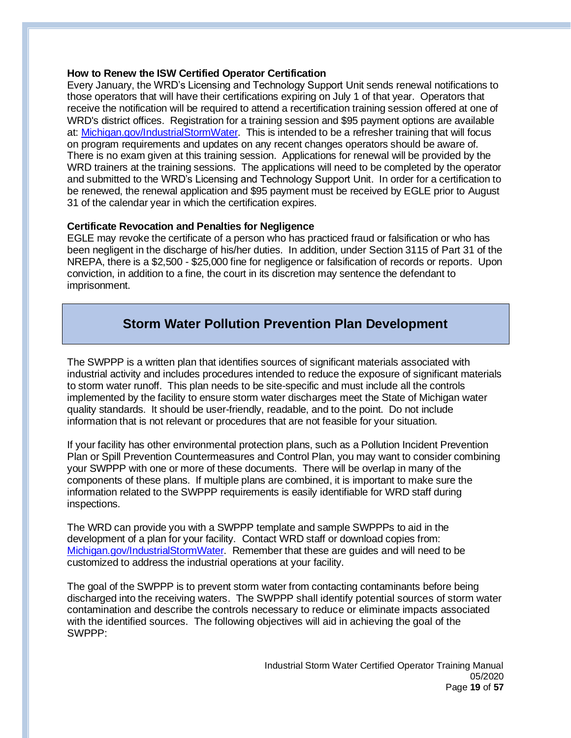## **How to Renew the ISW Certified Operator Certification**

Every January, the WRD's Licensing and Technology Support Unit sends renewal notifications to those operators that will have their certifications expiring on July 1 of that year. Operators that receive the notification will be required to attend a recertification training session offered at one of WRD's district offices. Registration for a training session and \$95 payment options are available at: [Michigan.gov/IndustrialStormWater.](https://www.michigan.gov/egle/0,9429,7-135-3313_71618_3682_3716-24018--,00.html) This is intended to be a refresher training that will focus on program requirements and updates on any recent changes operators should be aware of. There is no exam given at this training session. Applications for renewal will be provided by the WRD trainers at the training sessions. The applications will need to be completed by the operator and submitted to the WRD's Licensing and Technology Support Unit. In order for a certification to be renewed, the renewal application and \$95 payment must be received by EGLE prior to August 31 of the calendar year in which the certification expires.

# **Certificate Revocation and Penalties for Negligence**

EGLE may revoke the certificate of a person who has practiced fraud or falsification or who has been negligent in the discharge of his/her duties. In addition, under Section 3115 of Part 31 of the NREPA, there is a \$2,500 - \$25,000 fine for negligence or falsification of records or reports. Upon conviction, in addition to a fine, the court in its discretion may sentence the defendant to imprisonment.

# **Storm Water Pollution Prevention Plan Development**

The SWPPP is a written plan that identifies sources of significant materials associated with industrial activity and includes procedures intended to reduce the exposure of significant materials to storm water runoff. This plan needs to be site-specific and must include all the controls implemented by the facility to ensure storm water discharges meet the State of Michigan water quality standards. It should be user-friendly, readable, and to the point. Do not include information that is not relevant or procedures that are not feasible for your situation.

If your facility has other environmental protection plans, such as a Pollution Incident Prevention Plan or Spill Prevention Countermeasures and Control Plan, you may want to consider combining your SWPPP with one or more of these documents. There will be overlap in many of the components of these plans. If multiple plans are combined, it is important to make sure the information related to the SWPPP requirements is easily identifiable for WRD staff during inspections.

The WRD can provide you with a SWPPP template and sample SWPPPs to aid in the development of a plan for your facility. Contact WRD staff or download copies from: [Michigan.gov/IndustrialStormWater.](https://www.michigan.gov/egle/0,9429,7-135-3313_71618_3682_3716-24018--,00.html) Remember that these are guides and will need to be customized to address the industrial operations at your facility.

The goal of the SWPPP is to prevent storm water from contacting contaminants before being discharged into the receiving waters. The SWPPP shall identify potential sources of storm water contamination and describe the controls necessary to reduce or eliminate impacts associated with the identified sources. The following objectives will aid in achieving the goal of the SWPPP: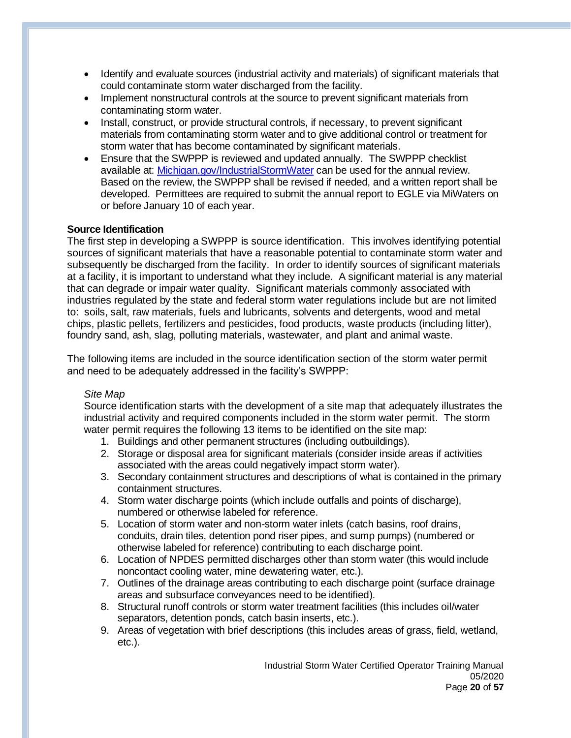- Identify and evaluate sources (industrial activity and materials) of significant materials that could contaminate storm water discharged from the facility.
- Implement nonstructural controls at the source to prevent significant materials from contaminating storm water.
- Install, construct, or provide structural controls, if necessary, to prevent significant materials from contaminating storm water and to give additional control or treatment for storm water that has become contaminated by significant materials.
- Ensure that the SWPPP is reviewed and updated annually. The SWPPP checklist available at: [Michigan.gov/IndustrialStormWater](https://www.michigan.gov/egle/0,9429,7-135-3313_71618_3682_3716-24018--,00.html) can be used for the annual review. Based on the review, the SWPPP shall be revised if needed, and a written report shall be developed. Permittees are required to submit the annual report to EGLE via MiWaters on or before January 10 of each year.

# **Source Identification**

The first step in developing a SWPPP is source identification. This involves identifying potential sources of significant materials that have a reasonable potential to contaminate storm water and subsequently be discharged from the facility. In order to identify sources of significant materials at a facility, it is important to understand what they include. A significant material is any material that can degrade or impair water quality. Significant materials commonly associated with industries regulated by the state and federal storm water regulations include but are not limited to: soils, salt, raw materials, fuels and lubricants, solvents and detergents, wood and metal chips, plastic pellets, fertilizers and pesticides, food products, waste products (including litter), foundry sand, ash, slag, polluting materials, wastewater, and plant and animal waste.

The following items are included in the source identification section of the storm water permit and need to be adequately addressed in the facility's SWPPP:

#### *Site Map*

Source identification starts with the development of a site map that adequately illustrates the industrial activity and required components included in the storm water permit. The storm water permit requires the following 13 items to be identified on the site map:

- 1. Buildings and other permanent structures (including outbuildings).
- 2. Storage or disposal area for significant materials (consider inside areas if activities associated with the areas could negatively impact storm water).
- 3. Secondary containment structures and descriptions of what is contained in the primary containment structures.
- 4. Storm water discharge points (which include outfalls and points of discharge), numbered or otherwise labeled for reference.
- 5. Location of storm water and non-storm water inlets (catch basins, roof drains, conduits, drain tiles, detention pond riser pipes, and sump pumps) (numbered or otherwise labeled for reference) contributing to each discharge point.
- 6. Location of NPDES permitted discharges other than storm water (this would include noncontact cooling water, mine dewatering water, etc.).
- 7. Outlines of the drainage areas contributing to each discharge point (surface drainage areas and subsurface conveyances need to be identified).
- 8. Structural runoff controls or storm water treatment facilities (this includes oil/water separators, detention ponds, catch basin inserts, etc.).
- 9. Areas of vegetation with brief descriptions (this includes areas of grass, field, wetland, etc.).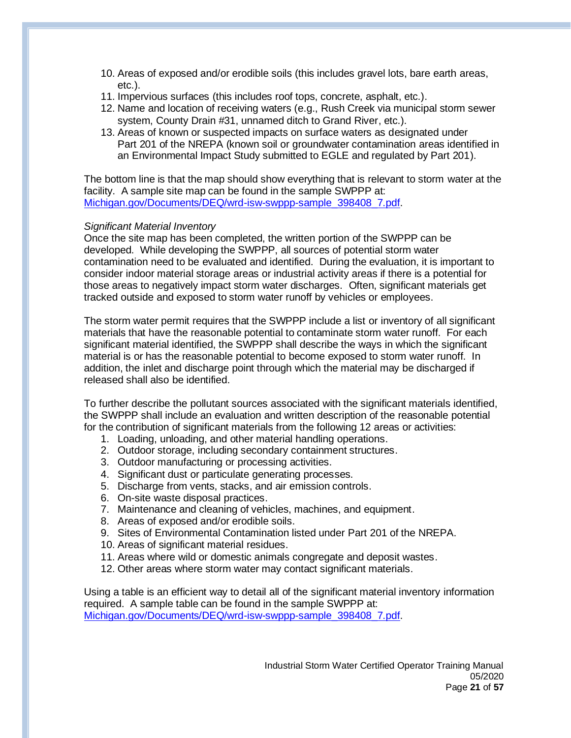- 10. Areas of exposed and/or erodible soils (this includes gravel lots, bare earth areas, etc.).
- 11. Impervious surfaces (this includes roof tops, concrete, asphalt, etc.).
- 12. Name and location of receiving waters (e.g., Rush Creek via municipal storm sewer system, County Drain #31, unnamed ditch to Grand River, etc.).
- 13. Areas of known or suspected impacts on surface waters as designated under Part 201 of the NREPA (known soil or groundwater contamination areas identified in an Environmental Impact Study submitted to EGLE and regulated by Part 201).

The bottom line is that the map should show everything that is relevant to storm water at the facility. A sample site map can be found in the sample SWPPP at: [Michigan.gov/Documents/DEQ/wrd-isw-swppp-sample\\_398408\\_7.pdf.](http://www.michigan.gov/documents/deq/wrd-isw-swppp-sample_398408_7.pdf)

## *Significant Material Inventory*

Once the site map has been completed, the written portion of the SWPPP can be developed. While developing the SWPPP, all sources of potential storm water contamination need to be evaluated and identified. During the evaluation, it is important to consider indoor material storage areas or industrial activity areas if there is a potential for those areas to negatively impact storm water discharges. Often, significant materials get tracked outside and exposed to storm water runoff by vehicles or employees.

The storm water permit requires that the SWPPP include a list or inventory of all significant materials that have the reasonable potential to contaminate storm water runoff. For each significant material identified, the SWPPP shall describe the ways in which the significant material is or has the reasonable potential to become exposed to storm water runoff. In addition, the inlet and discharge point through which the material may be discharged if released shall also be identified.

To further describe the pollutant sources associated with the significant materials identified, the SWPPP shall include an evaluation and written description of the reasonable potential for the contribution of significant materials from the following 12 areas or activities:

- 1. Loading, unloading, and other material handling operations.
- 2. Outdoor storage, including secondary containment structures.
- 3. Outdoor manufacturing or processing activities.
- 4. Significant dust or particulate generating processes.
- 5. Discharge from vents, stacks, and air emission controls.
- 6. On-site waste disposal practices.
- 7. Maintenance and cleaning of vehicles, machines, and equipment.
- 8. Areas of exposed and/or erodible soils.
- 9. Sites of Environmental Contamination listed under Part 201 of the NREPA.
- 10. Areas of significant material residues.
- 11. Areas where wild or domestic animals congregate and deposit wastes.
- 12. Other areas where storm water may contact significant materials.

Using a table is an efficient way to detail all of the significant material inventory information required. A sample table can be found in the sample SWPPP at: [Michigan.gov/Documents/DEQ/wrd-isw-swppp-sample\\_398408\\_7.pdf.](http://www.michigan.gov/documents/deq/wrd-isw-swppp-sample_398408_7.pdf)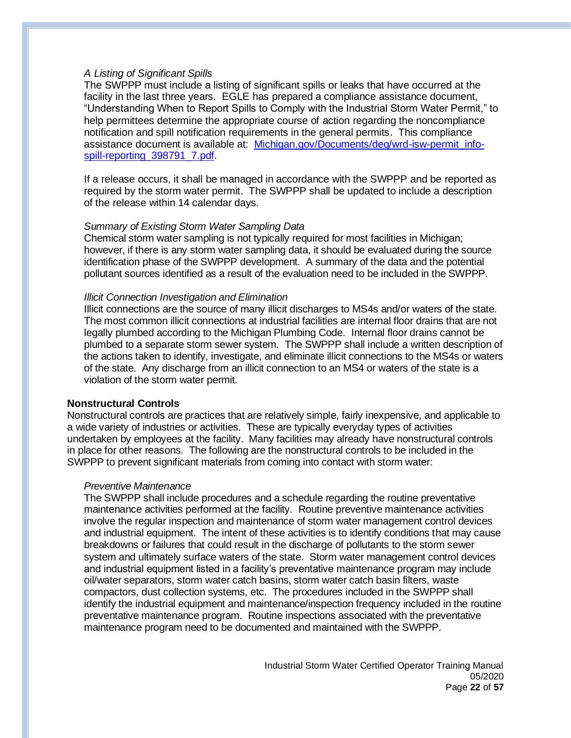### *A Listing of Significant Spills*

The SWPPP must include a listing of significant spills or leaks that have occurred at the facility in the last three years. EGLE has prepared a compliance assistance document, "Understanding When to Report Spills to Comply with the Industrial Storm Water Permit," to help permittees determine the appropriate course of action regarding the noncompliance notification and spill notification requirements in the general permits. This compliance assistance document is available at: Michigan.gov/Documents/deg/wrd-isw-permit\_info[spill-reporting\\_398791\\_7.pdf.](http://www.michigan.gov/documents/deq/wrd-isw-permit_info-spill-reporting_398791_7.pdf)

If a release occurs, it shall be managed in accordance with the SWPPP and be reported as required by the storm water permit. The SWPPP shall be updated to include a description of the release within 14 calendar days.

#### *Summary of Existing Storm Water Sampling Data*

Chemical storm water sampling is not typically required for most facilities in Michigan; however, if there is any storm water sampling data, it should be evaluated during the source identification phase of the SWPPP development. A summary of the data and the potential pollutant sources identified as a result of the evaluation need to be included in the SWPPP.

#### *Illicit Connection Investigation and Elimination*

Illicit connections are the source of many illicit discharges to MS4s and/or waters of the state. The most common illicit connections at industrial facilities are internal floor drains that are not legally plumbed according to the Michigan Plumbing Code. Internal floor drains cannot be plumbed to a separate storm sewer system. The SWPPP shall include a written description of the actions taken to identify, investigate, and eliminate illicit connections to the MS4s or waters of the state. Any discharge from an illicit connection to an MS4 or waters of the state is a violation of the storm water permit.

#### **Nonstructural Controls**

Nonstructural controls are practices that are relatively simple, fairly inexpensive, and applicable to a wide variety of industries or activities. These are typically everyday types of activities undertaken by employees at the facility. Many facilities may already have nonstructural controls in place for other reasons. The following are the nonstructural controls to be included in the SWPPP to prevent significant materials from coming into contact with storm water:

#### *Preventive Maintenance*

The SWPPP shall include procedures and a schedule regarding the routine preventative maintenance activities performed at the facility. Routine preventive maintenance activities involve the regular inspection and maintenance of storm water management control devices and industrial equipment. The intent of these activities is to identify conditions that may cause breakdowns or failures that could result in the discharge of pollutants to the storm sewer system and ultimately surface waters of the state. Storm water management control devices and industrial equipment listed in a facility's preventative maintenance program may include oil/water separators, storm water catch basins, storm water catch basin filters, waste compactors, dust collection systems, etc. The procedures included in the SWPPP shall identify the industrial equipment and maintenance/inspection frequency included in the routine preventative maintenance program. Routine inspections associated with the preventative maintenance program need to be documented and maintained with the SWPPP.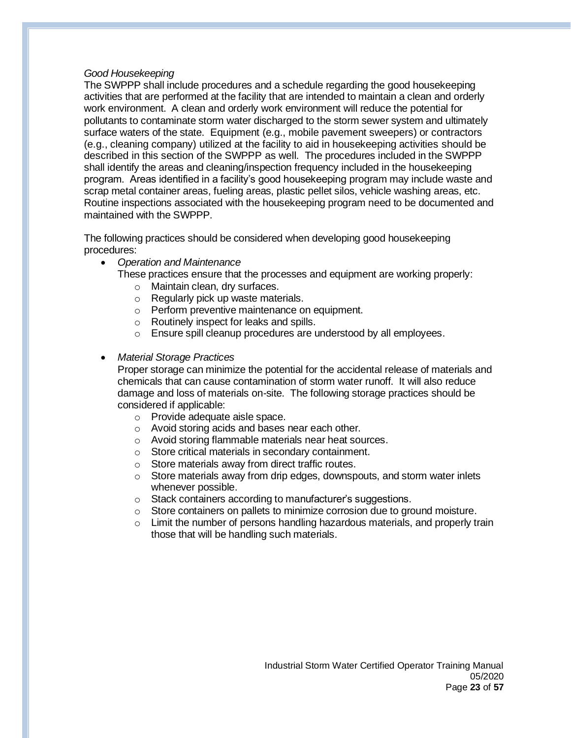### *Good Housekeeping*

The SWPPP shall include procedures and a schedule regarding the good housekeeping activities that are performed at the facility that are intended to maintain a clean and orderly work environment. A clean and orderly work environment will reduce the potential for pollutants to contaminate storm water discharged to the storm sewer system and ultimately surface waters of the state. Equipment (e.g., mobile pavement sweepers) or contractors (e.g., cleaning company) utilized at the facility to aid in housekeeping activities should be described in this section of the SWPPP as well. The procedures included in the SWPPP shall identify the areas and cleaning/inspection frequency included in the housekeeping program. Areas identified in a facility's good housekeeping program may include waste and scrap metal container areas, fueling areas, plastic pellet silos, vehicle washing areas, etc. Routine inspections associated with the housekeeping program need to be documented and maintained with the SWPPP.

The following practices should be considered when developing good housekeeping procedures:

• *Operation and Maintenance*

These practices ensure that the processes and equipment are working properly:

- o Maintain clean, dry surfaces.
- o Regularly pick up waste materials.
- o Perform preventive maintenance on equipment.
- o Routinely inspect for leaks and spills.
- o Ensure spill cleanup procedures are understood by all employees.
- *Material Storage Practices*

Proper storage can minimize the potential for the accidental release of materials and chemicals that can cause contamination of storm water runoff. It will also reduce damage and loss of materials on-site. The following storage practices should be considered if applicable:

- o Provide adequate aisle space.
- o Avoid storing acids and bases near each other.
- o Avoid storing flammable materials near heat sources.
- o Store critical materials in secondary containment.
- o Store materials away from direct traffic routes.
- o Store materials away from drip edges, downspouts, and storm water inlets whenever possible.
- o Stack containers according to manufacturer's suggestions.
- $\circ$  Store containers on pallets to minimize corrosion due to ground moisture.
- $\circ$  Limit the number of persons handling hazardous materials, and properly train those that will be handling such materials.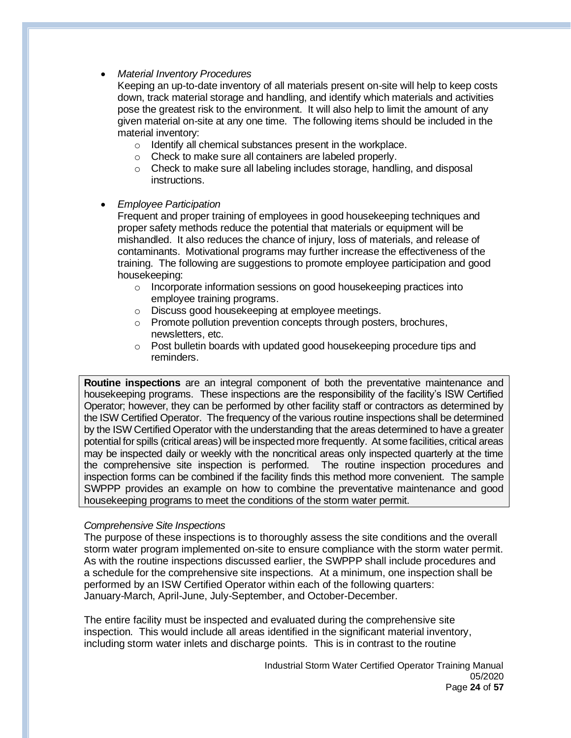• *Material Inventory Procedures*

Keeping an up-to-date inventory of all materials present on-site will help to keep costs down, track material storage and handling, and identify which materials and activities pose the greatest risk to the environment. It will also help to limit the amount of any given material on-site at any one time. The following items should be included in the material inventory:

- o Identify all chemical substances present in the workplace.
- o Check to make sure all containers are labeled properly.
- o Check to make sure all labeling includes storage, handling, and disposal instructions.

## • *Employee Participation*

Frequent and proper training of employees in good housekeeping techniques and proper safety methods reduce the potential that materials or equipment will be mishandled. It also reduces the chance of injury, loss of materials, and release of contaminants. Motivational programs may further increase the effectiveness of the training. The following are suggestions to promote employee participation and good housekeeping:

- o Incorporate information sessions on good housekeeping practices into employee training programs.
- o Discuss good housekeeping at employee meetings.
- o Promote pollution prevention concepts through posters, brochures, newsletters, etc.
- o Post bulletin boards with updated good housekeeping procedure tips and reminders.

**Routine inspections** are an integral component of both the preventative maintenance and housekeeping programs. These inspections are the responsibility of the facility's ISW Certified Operator; however, they can be performed by other facility staff or contractors as determined by the ISW Certified Operator. The frequency of the various routine inspections shall be determined by the ISW Certified Operator with the understanding that the areas determined to have a greater potential for spills (critical areas) will be inspected more frequently. At some facilities, critical areas may be inspected daily or weekly with the noncritical areas only inspected quarterly at the time the comprehensive site inspection is performed. The routine inspection procedures and inspection forms can be combined if the facility finds this method more convenient. The sample SWPPP provides an example on how to combine the preventative maintenance and good housekeeping programs to meet the conditions of the storm water permit.

# *Comprehensive Site Inspections*

The purpose of these inspections is to thoroughly assess the site conditions and the overall storm water program implemented on-site to ensure compliance with the storm water permit. As with the routine inspections discussed earlier, the SWPPP shall include procedures and a schedule for the comprehensive site inspections. At a minimum, one inspection shall be performed by an ISW Certified Operator within each of the following quarters: January-March, April-June, July-September, and October-December.

The entire facility must be inspected and evaluated during the comprehensive site inspection. This would include all areas identified in the significant material inventory, including storm water inlets and discharge points. This is in contrast to the routine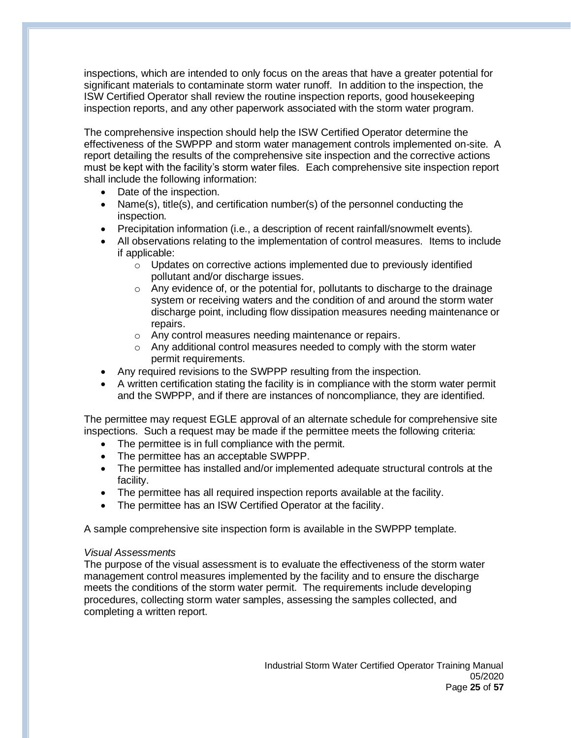inspections, which are intended to only focus on the areas that have a greater potential for significant materials to contaminate storm water runoff. In addition to the inspection, the ISW Certified Operator shall review the routine inspection reports, good housekeeping inspection reports, and any other paperwork associated with the storm water program.

The comprehensive inspection should help the ISW Certified Operator determine the effectiveness of the SWPPP and storm water management controls implemented on-site. A report detailing the results of the comprehensive site inspection and the corrective actions must be kept with the facility's storm water files. Each comprehensive site inspection report shall include the following information:

- Date of the inspection.
- Name(s), title(s), and certification number(s) of the personnel conducting the inspection.
- Precipitation information (i.e., a description of recent rainfall/snowmelt events).
- All observations relating to the implementation of control measures. Items to include if applicable:
	- $\circ$  Updates on corrective actions implemented due to previously identified pollutant and/or discharge issues.
	- $\circ$  Any evidence of, or the potential for, pollutants to discharge to the drainage system or receiving waters and the condition of and around the storm water discharge point, including flow dissipation measures needing maintenance or repairs.
	- o Any control measures needing maintenance or repairs.
	- $\circ$  Any additional control measures needed to comply with the storm water permit requirements.
- Any required revisions to the SWPPP resulting from the inspection.
- A written certification stating the facility is in compliance with the storm water permit and the SWPPP, and if there are instances of noncompliance, they are identified.

The permittee may request EGLE approval of an alternate schedule for comprehensive site inspections. Such a request may be made if the permittee meets the following criteria:

- The permittee is in full compliance with the permit.
- The permittee has an acceptable SWPPP.
- The permittee has installed and/or implemented adequate structural controls at the facility.
- The permittee has all required inspection reports available at the facility.
- The permittee has an ISW Certified Operator at the facility.

A sample comprehensive site inspection form is available in the SWPPP template.

#### *Visual Assessments*

The purpose of the visual assessment is to evaluate the effectiveness of the storm water management control measures implemented by the facility and to ensure the discharge meets the conditions of the storm water permit. The requirements include developing procedures, collecting storm water samples, assessing the samples collected, and completing a written report.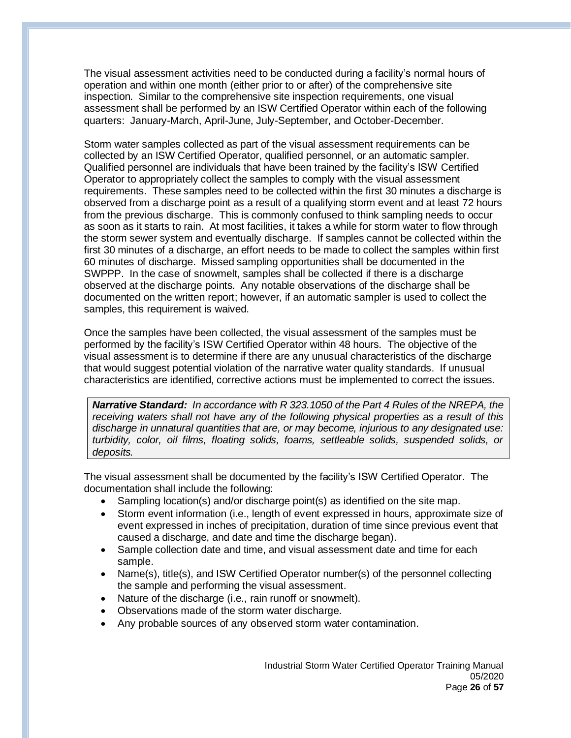The visual assessment activities need to be conducted during a facility's normal hours of operation and within one month (either prior to or after) of the comprehensive site inspection. Similar to the comprehensive site inspection requirements, one visual assessment shall be performed by an ISW Certified Operator within each of the following quarters: January-March, April-June, July-September, and October-December.

Storm water samples collected as part of the visual assessment requirements can be collected by an ISW Certified Operator, qualified personnel, or an automatic sampler. Qualified personnel are individuals that have been trained by the facility's ISW Certified Operator to appropriately collect the samples to comply with the visual assessment requirements. These samples need to be collected within the first 30 minutes a discharge is observed from a discharge point as a result of a qualifying storm event and at least 72 hours from the previous discharge. This is commonly confused to think sampling needs to occur as soon as it starts to rain. At most facilities, it takes a while for storm water to flow through the storm sewer system and eventually discharge. If samples cannot be collected within the first 30 minutes of a discharge, an effort needs to be made to collect the samples within first 60 minutes of discharge. Missed sampling opportunities shall be documented in the SWPPP. In the case of snowmelt, samples shall be collected if there is a discharge observed at the discharge points. Any notable observations of the discharge shall be documented on the written report; however, if an automatic sampler is used to collect the samples, this requirement is waived.

Once the samples have been collected, the visual assessment of the samples must be performed by the facility's ISW Certified Operator within 48 hours. The objective of the visual assessment is to determine if there are any unusual characteristics of the discharge that would suggest potential violation of the narrative water quality standards. If unusual characteristics are identified, corrective actions must be implemented to correct the issues.

*Narrative Standard: In accordance with R 323.1050 of the Part 4 Rules of the NREPA, the receiving waters shall not have any of the following physical properties as a result of this discharge in unnatural quantities that are, or may become, injurious to any designated use: turbidity, color, oil films, floating solids, foams, settleable solids, suspended solids, or deposits.*

The visual assessment shall be documented by the facility's ISW Certified Operator. The documentation shall include the following:

- Sampling location(s) and/or discharge point(s) as identified on the site map.
- Storm event information (i.e., length of event expressed in hours, approximate size of event expressed in inches of precipitation, duration of time since previous event that caused a discharge, and date and time the discharge began).
- Sample collection date and time, and visual assessment date and time for each sample.
- Name(s), title(s), and ISW Certified Operator number(s) of the personnel collecting the sample and performing the visual assessment.
- Nature of the discharge (i.e., rain runoff or snowmelt).
- Observations made of the storm water discharge.
- Any probable sources of any observed storm water contamination.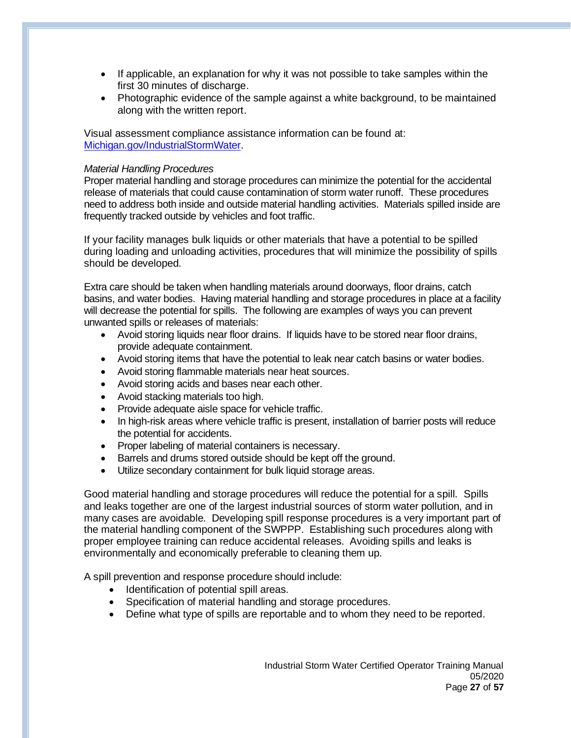- If applicable, an explanation for why it was not possible to take samples within the first 30 minutes of discharge.
- Photographic evidence of the sample against a white background, to be maintained along with the written report.

Visual assessment compliance assistance information can be found at: [Michigan.gov/IndustrialStormWater.](https://www.michigan.gov/egle/0,9429,7-135-3313_71618_3682_3716-24018--,00.html)

## *Material Handling Procedures*

Proper material handling and storage procedures can minimize the potential for the accidental release of materials that could cause contamination of storm water runoff. These procedures need to address both inside and outside material handling activities. Materials spilled inside are frequently tracked outside by vehicles and foot traffic.

If your facility manages bulk liquids or other materials that have a potential to be spilled during loading and unloading activities, procedures that will minimize the possibility of spills should be developed.

Extra care should be taken when handling materials around doorways, floor drains, catch basins, and water bodies. Having material handling and storage procedures in place at a facility will decrease the potential for spills. The following are examples of ways you can prevent unwanted spills or releases of materials:

- Avoid storing liquids near floor drains. If liquids have to be stored near floor drains, provide adequate containment.
- Avoid storing items that have the potential to leak near catch basins or water bodies.
- Avoid storing flammable materials near heat sources.
- Avoid storing acids and bases near each other.
- Avoid stacking materials too high.
- Provide adequate aisle space for vehicle traffic.
- In high-risk areas where vehicle traffic is present, installation of barrier posts will reduce the potential for accidents.
- Proper labeling of material containers is necessary.
- Barrels and drums stored outside should be kept off the ground.
- Utilize secondary containment for bulk liquid storage areas.

Good material handling and storage procedures will reduce the potential for a spill. Spills and leaks together are one of the largest industrial sources of storm water pollution, and in many cases are avoidable. Developing spill response procedures is a very important part of the material handling component of the SWPPP. Establishing such procedures along with proper employee training can reduce accidental releases. Avoiding spills and leaks is environmentally and economically preferable to cleaning them up.

A spill prevention and response procedure should include:

- Identification of potential spill areas.
- Specification of material handling and storage procedures.
- Define what type of spills are reportable and to whom they need to be reported.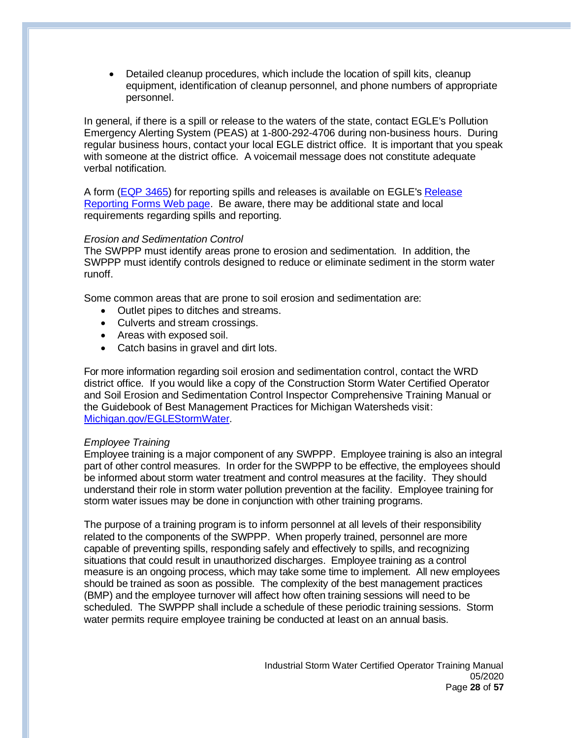• Detailed cleanup procedures, which include the location of spill kits, cleanup equipment, identification of cleanup personnel, and phone numbers of appropriate personnel.

In general, if there is a spill or release to the waters of the state, contact EGLE's Pollution Emergency Alerting System (PEAS) at 1-800-292-4706 during non-business hours. During regular business hours, contact your local EGLE district office. It is important that you speak with someone at the district office. A voicemail message does not constitute adequate verbal notification.

A form [\(EQP 3465\)](https://www.michigan.gov/egle/0,9429,7-135-3307_29894_5959-20341--,00.html) for reporting spills and releases is available on EGLE's [Release](https://www.michigan.gov/egle/0,9429,7-135-3307_29894_5959-20341--,00.html)  [Reporting Forms Web page.](https://www.michigan.gov/egle/0,9429,7-135-3307_29894_5959-20341--,00.html) Be aware, there may be additional state and local requirements regarding spills and reporting.

## *Erosion and Sedimentation Control*

The SWPPP must identify areas prone to erosion and sedimentation. In addition, the SWPPP must identify controls designed to reduce or eliminate sediment in the storm water runoff.

Some common areas that are prone to soil erosion and sedimentation are:

- Outlet pipes to ditches and streams.
- Culverts and stream crossings.
- Areas with exposed soil.
- Catch basins in gravel and dirt lots.

For more information regarding soil erosion and sedimentation control, contact the WRD district office. If you would like a copy of the Construction Storm Water Certified Operator and Soil Erosion and Sedimentation Control Inspector Comprehensive Training Manual or the Guidebook of Best Management Practices for Michigan Watersheds visit: [Michigan.gov/EGLEStormWater.](http://www.michigan.gov/EGLEStormWater)

#### *Employee Training*

Employee training is a major component of any SWPPP. Employee training is also an integral part of other control measures. In order for the SWPPP to be effective, the employees should be informed about storm water treatment and control measures at the facility. They should understand their role in storm water pollution prevention at the facility. Employee training for storm water issues may be done in conjunction with other training programs.

The purpose of a training program is to inform personnel at all levels of their responsibility related to the components of the SWPPP. When properly trained, personnel are more capable of preventing spills, responding safely and effectively to spills, and recognizing situations that could result in unauthorized discharges. Employee training as a control measure is an ongoing process, which may take some time to implement. All new employees should be trained as soon as possible. The complexity of the best management practices (BMP) and the employee turnover will affect how often training sessions will need to be scheduled. The SWPPP shall include a schedule of these periodic training sessions. Storm water permits require employee training be conducted at least on an annual basis.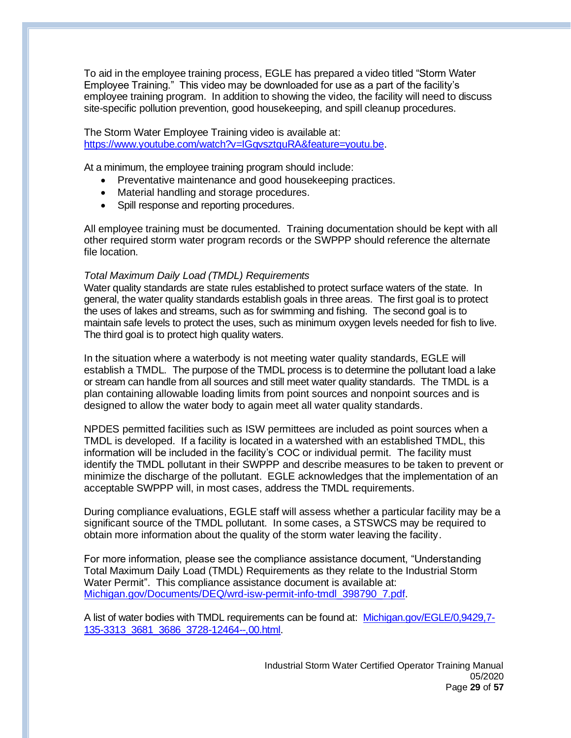To aid in the employee training process, EGLE has prepared a video titled "Storm Water Employee Training." This video may be downloaded for use as a part of the facility's employee training program. In addition to showing the video, the facility will need to discuss site-specific pollution prevention, good housekeeping, and spill cleanup procedures.

The Storm Water Employee Training video is available at: [https://www.youtube.com/watch?v=IGqvsztguRA&feature=youtu.be.](https://www.youtube.com/watch?v=IGqvsztguRA&feature=youtu.be)

At a minimum, the employee training program should include:

- Preventative maintenance and good housekeeping practices.
- Material handling and storage procedures.
- Spill response and reporting procedures.

All employee training must be documented. Training documentation should be kept with all other required storm water program records or the SWPPP should reference the alternate file location.

## *Total Maximum Daily Load (TMDL) Requirements*

Water quality standards are state rules established to protect surface waters of the state. In general, the water quality standards establish goals in three areas. The first goal is to protect the uses of lakes and streams, such as for swimming and fishing. The second goal is to maintain safe levels to protect the uses, such as minimum oxygen levels needed for fish to live. The third goal is to protect high quality waters.

In the situation where a waterbody is not meeting water quality standards, EGLE will establish a TMDL. The purpose of the TMDL process is to determine the pollutant load a lake or stream can handle from all sources and still meet water quality standards. The TMDL is a plan containing allowable loading limits from point sources and nonpoint sources and is designed to allow the water body to again meet all water quality standards.

NPDES permitted facilities such as ISW permittees are included as point sources when a TMDL is developed. If a facility is located in a watershed with an established TMDL, this information will be included in the facility's COC or individual permit. The facility must identify the TMDL pollutant in their SWPPP and describe measures to be taken to prevent or minimize the discharge of the pollutant. EGLE acknowledges that the implementation of an acceptable SWPPP will, in most cases, address the TMDL requirements.

During compliance evaluations, EGLE staff will assess whether a particular facility may be a significant source of the TMDL pollutant. In some cases, a STSWCS may be required to obtain more information about the quality of the storm water leaving the facility.

For more information, please see the compliance assistance document, "Understanding Total Maximum Daily Load (TMDL) Requirements as they relate to the Industrial Storm Water Permit". This compliance assistance document is available at: [Michigan.gov/Documents/DEQ/wrd-isw-permit-info-tmdl\\_398790\\_7.pdf.](http://www.michigan.gov/documents/deq/wrd-isw-permit-info-tmdl_398790_7.pdf)

A list of water bodies with TMDL requirements can be found at: [Michigan.gov/EGLE/0,9429,7-](https://www.michigan.gov/egle/0,9429,7-135-3313_3681_3686_3728-12464--,00.html) [135-3313\\_3681\\_3686\\_3728-12464--,00.html.](https://www.michigan.gov/egle/0,9429,7-135-3313_3681_3686_3728-12464--,00.html)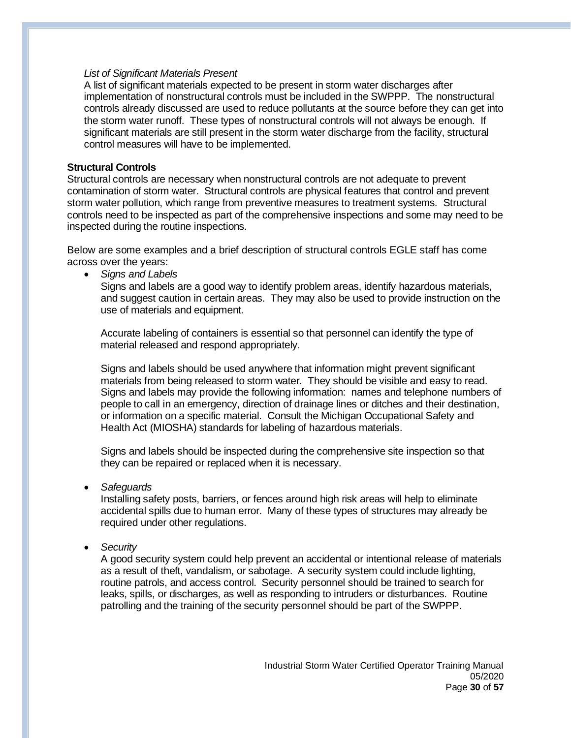### *List of Significant Materials Present*

A list of significant materials expected to be present in storm water discharges after implementation of nonstructural controls must be included in the SWPPP. The nonstructural controls already discussed are used to reduce pollutants at the source before they can get into the storm water runoff. These types of nonstructural controls will not always be enough. If significant materials are still present in the storm water discharge from the facility, structural control measures will have to be implemented.

## **Structural Controls**

Structural controls are necessary when nonstructural controls are not adequate to prevent contamination of storm water. Structural controls are physical features that control and prevent storm water pollution, which range from preventive measures to treatment systems. Structural controls need to be inspected as part of the comprehensive inspections and some may need to be inspected during the routine inspections.

Below are some examples and a brief description of structural controls EGLE staff has come across over the years:

• *Signs and Labels*

Signs and labels are a good way to identify problem areas, identify hazardous materials, and suggest caution in certain areas. They may also be used to provide instruction on the use of materials and equipment.

Accurate labeling of containers is essential so that personnel can identify the type of material released and respond appropriately.

Signs and labels should be used anywhere that information might prevent significant materials from being released to storm water. They should be visible and easy to read. Signs and labels may provide the following information: names and telephone numbers of people to call in an emergency, direction of drainage lines or ditches and their destination, or information on a specific material. Consult the Michigan Occupational Safety and Health Act (MIOSHA) standards for labeling of hazardous materials.

Signs and labels should be inspected during the comprehensive site inspection so that they can be repaired or replaced when it is necessary.

• *Safeguards*

Installing safety posts, barriers, or fences around high risk areas will help to eliminate accidental spills due to human error. Many of these types of structures may already be required under other regulations.

• *Security*

A good security system could help prevent an accidental or intentional release of materials as a result of theft, vandalism, or sabotage. A security system could include lighting, routine patrols, and access control. Security personnel should be trained to search for leaks, spills, or discharges, as well as responding to intruders or disturbances. Routine patrolling and the training of the security personnel should be part of the SWPPP.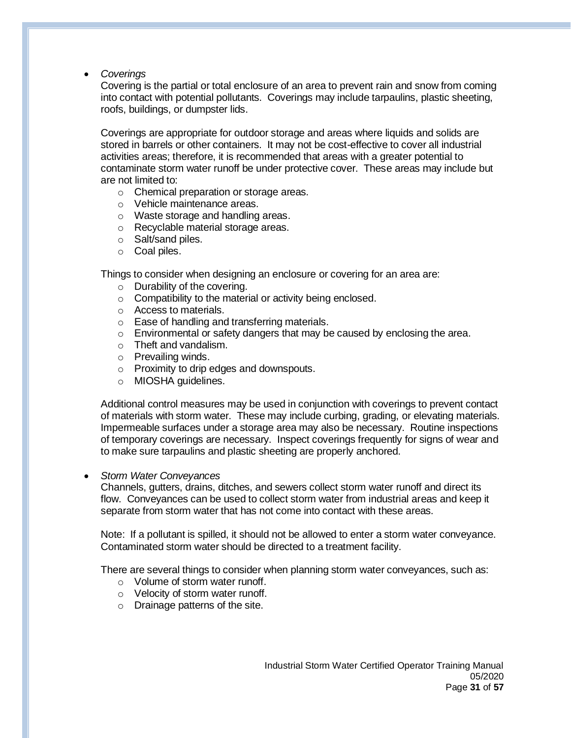• *Coverings*

Covering is the partial or total enclosure of an area to prevent rain and snow from coming into contact with potential pollutants. Coverings may include tarpaulins, plastic sheeting, roofs, buildings, or dumpster lids.

Coverings are appropriate for outdoor storage and areas where liquids and solids are stored in barrels or other containers. It may not be cost-effective to cover all industrial activities areas; therefore, it is recommended that areas with a greater potential to contaminate storm water runoff be under protective cover. These areas may include but are not limited to:

- o Chemical preparation or storage areas.
- o Vehicle maintenance areas.
- o Waste storage and handling areas.
- o Recyclable material storage areas.
- o Salt/sand piles.
- o Coal piles.

Things to consider when designing an enclosure or covering for an area are:

- o Durability of the covering.
- o Compatibility to the material or activity being enclosed.
- o Access to materials.
- o Ease of handling and transferring materials.
- $\circ$  Environmental or safety dangers that may be caused by enclosing the area.
- o Theft and vandalism.
- o Prevailing winds.
- o Proximity to drip edges and downspouts.
- o MIOSHA guidelines.

Additional control measures may be used in conjunction with coverings to prevent contact of materials with storm water. These may include curbing, grading, or elevating materials. Impermeable surfaces under a storage area may also be necessary. Routine inspections of temporary coverings are necessary. Inspect coverings frequently for signs of wear and to make sure tarpaulins and plastic sheeting are properly anchored.

• *Storm Water Conveyances*

Channels, gutters, drains, ditches, and sewers collect storm water runoff and direct its flow. Conveyances can be used to collect storm water from industrial areas and keep it separate from storm water that has not come into contact with these areas.

Note: If a pollutant is spilled, it should not be allowed to enter a storm water conveyance. Contaminated storm water should be directed to a treatment facility.

There are several things to consider when planning storm water conveyances, such as:

- o Volume of storm water runoff.
- o Velocity of storm water runoff.
- o Drainage patterns of the site.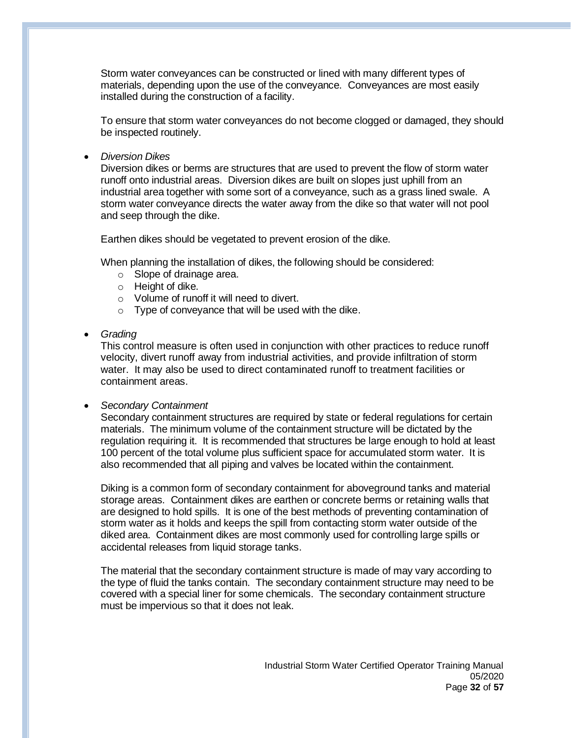Storm water conveyances can be constructed or lined with many different types of materials, depending upon the use of the conveyance. Conveyances are most easily installed during the construction of a facility.

To ensure that storm water conveyances do not become clogged or damaged, they should be inspected routinely.

• *Diversion Dikes*

Diversion dikes or berms are structures that are used to prevent the flow of storm water runoff onto industrial areas. Diversion dikes are built on slopes just uphill from an industrial area together with some sort of a conveyance, such as a grass lined swale. A storm water conveyance directs the water away from the dike so that water will not pool and seep through the dike.

Earthen dikes should be vegetated to prevent erosion of the dike.

When planning the installation of dikes, the following should be considered:

- o Slope of drainage area.
- o Height of dike.
- o Volume of runoff it will need to divert.
- o Type of conveyance that will be used with the dike.
- *Grading*

This control measure is often used in conjunction with other practices to reduce runoff velocity, divert runoff away from industrial activities, and provide infiltration of storm water. It may also be used to direct contaminated runoff to treatment facilities or containment areas.

• *Secondary Containment*

Secondary containment structures are required by state or federal regulations for certain materials. The minimum volume of the containment structure will be dictated by the regulation requiring it. It is recommended that structures be large enough to hold at least 100 percent of the total volume plus sufficient space for accumulated storm water. It is also recommended that all piping and valves be located within the containment.

Diking is a common form of secondary containment for aboveground tanks and material storage areas. Containment dikes are earthen or concrete berms or retaining walls that are designed to hold spills. It is one of the best methods of preventing contamination of storm water as it holds and keeps the spill from contacting storm water outside of the diked area. Containment dikes are most commonly used for controlling large spills or accidental releases from liquid storage tanks.

The material that the secondary containment structure is made of may vary according to the type of fluid the tanks contain. The secondary containment structure may need to be covered with a special liner for some chemicals. The secondary containment structure must be impervious so that it does not leak.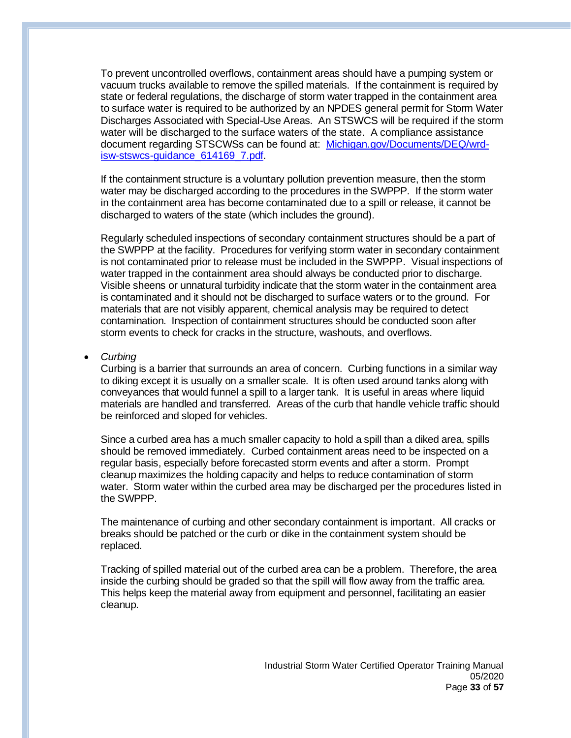To prevent uncontrolled overflows, containment areas should have a pumping system or vacuum trucks available to remove the spilled materials. If the containment is required by state or federal regulations, the discharge of storm water trapped in the containment area to surface water is required to be authorized by an NPDES general permit for Storm Water Discharges Associated with Special-Use Areas. An STSWCS will be required if the storm water will be discharged to the surface waters of the state. A compliance assistance document regarding STSCWSs can be found at: [Michigan.gov/Documents/DEQ/wrd](https://www.michigan.gov/documents/deq/wrd-isw-stswcs-guidance_614169_7.pdf)[isw-stswcs-guidance\\_614169\\_7.pdf.](https://www.michigan.gov/documents/deq/wrd-isw-stswcs-guidance_614169_7.pdf)

If the containment structure is a voluntary pollution prevention measure, then the storm water may be discharged according to the procedures in the SWPPP. If the storm water in the containment area has become contaminated due to a spill or release, it cannot be discharged to waters of the state (which includes the ground).

Regularly scheduled inspections of secondary containment structures should be a part of the SWPPP at the facility. Procedures for verifying storm water in secondary containment is not contaminated prior to release must be included in the SWPPP. Visual inspections of water trapped in the containment area should always be conducted prior to discharge. Visible sheens or unnatural turbidity indicate that the storm water in the containment area is contaminated and it should not be discharged to surface waters or to the ground. For materials that are not visibly apparent, chemical analysis may be required to detect contamination. Inspection of containment structures should be conducted soon after storm events to check for cracks in the structure, washouts, and overflows.

#### • *Curbing*

Curbing is a barrier that surrounds an area of concern. Curbing functions in a similar way to diking except it is usually on a smaller scale. It is often used around tanks along with conveyances that would funnel a spill to a larger tank. It is useful in areas where liquid materials are handled and transferred. Areas of the curb that handle vehicle traffic should be reinforced and sloped for vehicles.

Since a curbed area has a much smaller capacity to hold a spill than a diked area, spills should be removed immediately. Curbed containment areas need to be inspected on a regular basis, especially before forecasted storm events and after a storm. Prompt cleanup maximizes the holding capacity and helps to reduce contamination of storm water. Storm water within the curbed area may be discharged per the procedures listed in the SWPPP.

The maintenance of curbing and other secondary containment is important. All cracks or breaks should be patched or the curb or dike in the containment system should be replaced.

Tracking of spilled material out of the curbed area can be a problem. Therefore, the area inside the curbing should be graded so that the spill will flow away from the traffic area. This helps keep the material away from equipment and personnel, facilitating an easier cleanup.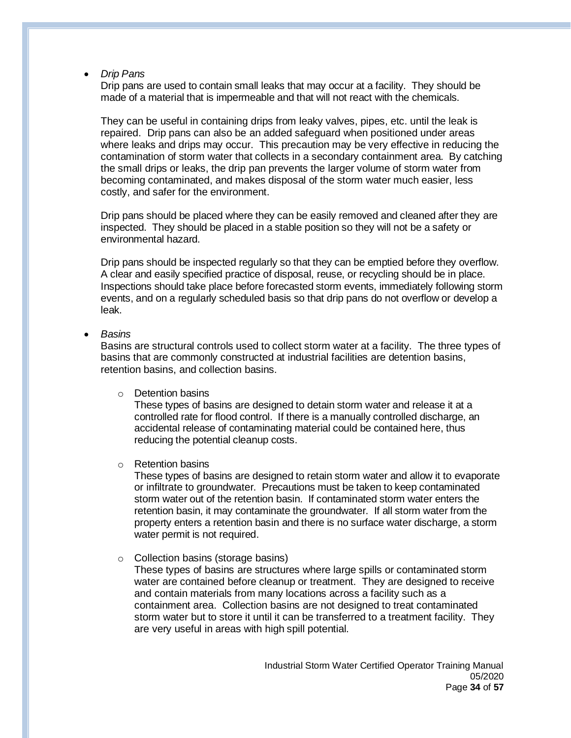• *Drip Pans*

Drip pans are used to contain small leaks that may occur at a facility. They should be made of a material that is impermeable and that will not react with the chemicals.

They can be useful in containing drips from leaky valves, pipes, etc. until the leak is repaired. Drip pans can also be an added safeguard when positioned under areas where leaks and drips may occur. This precaution may be very effective in reducing the contamination of storm water that collects in a secondary containment area. By catching the small drips or leaks, the drip pan prevents the larger volume of storm water from becoming contaminated, and makes disposal of the storm water much easier, less costly, and safer for the environment.

Drip pans should be placed where they can be easily removed and cleaned after they are inspected. They should be placed in a stable position so they will not be a safety or environmental hazard.

Drip pans should be inspected regularly so that they can be emptied before they overflow. A clear and easily specified practice of disposal, reuse, or recycling should be in place. Inspections should take place before forecasted storm events, immediately following storm events, and on a regularly scheduled basis so that drip pans do not overflow or develop a leak.

• *Basins*

Basins are structural controls used to collect storm water at a facility. The three types of basins that are commonly constructed at industrial facilities are detention basins, retention basins, and collection basins.

o Detention basins

These types of basins are designed to detain storm water and release it at a controlled rate for flood control. If there is a manually controlled discharge, an accidental release of contaminating material could be contained here, thus reducing the potential cleanup costs.

o Retention basins

These types of basins are designed to retain storm water and allow it to evaporate or infiltrate to groundwater. Precautions must be taken to keep contaminated storm water out of the retention basin. If contaminated storm water enters the retention basin, it may contaminate the groundwater. If all storm water from the property enters a retention basin and there is no surface water discharge, a storm water permit is not required.

o Collection basins (storage basins)

These types of basins are structures where large spills or contaminated storm water are contained before cleanup or treatment. They are designed to receive and contain materials from many locations across a facility such as a containment area. Collection basins are not designed to treat contaminated storm water but to store it until it can be transferred to a treatment facility. They are very useful in areas with high spill potential.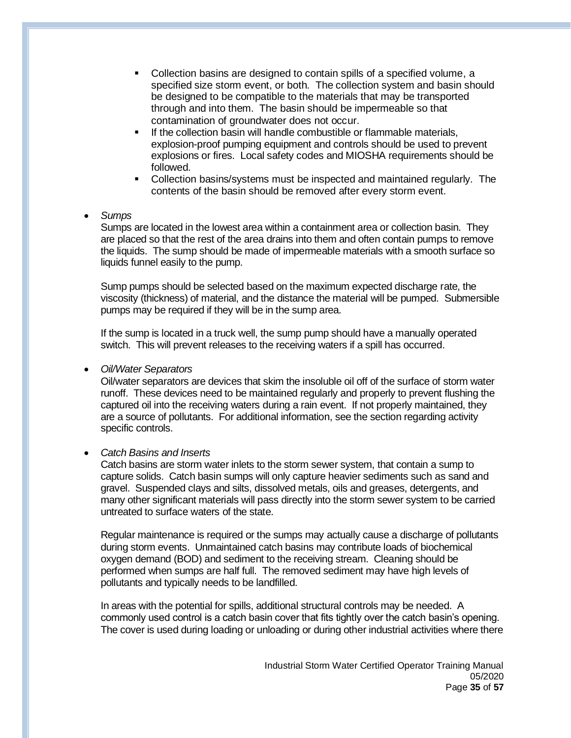- Collection basins are designed to contain spills of a specified volume, a specified size storm event, or both. The collection system and basin should be designed to be compatible to the materials that may be transported through and into them. The basin should be impermeable so that contamination of groundwater does not occur.
- **EXECT** If the collection basin will handle combustible or flammable materials, explosion-proof pumping equipment and controls should be used to prevent explosions or fires. Local safety codes and MIOSHA requirements should be followed.
- Collection basins/systems must be inspected and maintained regularly. The contents of the basin should be removed after every storm event.

# • *Sumps*

Sumps are located in the lowest area within a containment area or collection basin. They are placed so that the rest of the area drains into them and often contain pumps to remove the liquids. The sump should be made of impermeable materials with a smooth surface so liquids funnel easily to the pump.

Sump pumps should be selected based on the maximum expected discharge rate, the viscosity (thickness) of material, and the distance the material will be pumped. Submersible pumps may be required if they will be in the sump area.

If the sump is located in a truck well, the sump pump should have a manually operated switch. This will prevent releases to the receiving waters if a spill has occurred.

# • *Oil/Water Separators*

Oil/water separators are devices that skim the insoluble oil off of the surface of storm water runoff. These devices need to be maintained regularly and properly to prevent flushing the captured oil into the receiving waters during a rain event. If not properly maintained, they are a source of pollutants. For additional information, see the section regarding activity specific controls.

# • *Catch Basins and Inserts*

Catch basins are storm water inlets to the storm sewer system, that contain a sump to capture solids. Catch basin sumps will only capture heavier sediments such as sand and gravel. Suspended clays and silts, dissolved metals, oils and greases, detergents, and many other significant materials will pass directly into the storm sewer system to be carried untreated to surface waters of the state.

Regular maintenance is required or the sumps may actually cause a discharge of pollutants during storm events. Unmaintained catch basins may contribute loads of biochemical oxygen demand (BOD) and sediment to the receiving stream. Cleaning should be performed when sumps are half full. The removed sediment may have high levels of pollutants and typically needs to be landfilled.

In areas with the potential for spills, additional structural controls may be needed. A commonly used control is a catch basin cover that fits tightly over the catch basin's opening. The cover is used during loading or unloading or during other industrial activities where there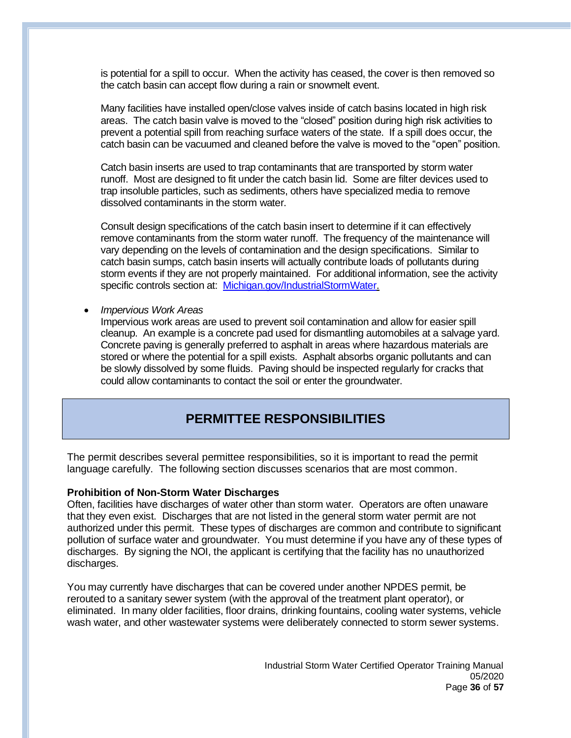is potential for a spill to occur. When the activity has ceased, the cover is then removed so the catch basin can accept flow during a rain or snowmelt event.

Many facilities have installed open/close valves inside of catch basins located in high risk areas. The catch basin valve is moved to the "closed" position during high risk activities to prevent a potential spill from reaching surface waters of the state. If a spill does occur, the catch basin can be vacuumed and cleaned before the valve is moved to the "open" position.

Catch basin inserts are used to trap contaminants that are transported by storm water runoff. Most are designed to fit under the catch basin lid. Some are filter devices used to trap insoluble particles, such as sediments, others have specialized media to remove dissolved contaminants in the storm water.

Consult design specifications of the catch basin insert to determine if it can effectively remove contaminants from the storm water runoff. The frequency of the maintenance will vary depending on the levels of contamination and the design specifications. Similar to catch basin sumps, catch basin inserts will actually contribute loads of pollutants during storm events if they are not properly maintained. For additional information, see the activity specific controls section at: [Michigan.gov/IndustrialStormWater.](https://www.michigan.gov/egle/0,9429,7-135-3313_71618_3682_3716-24018--,00.html)

#### • *Impervious Work Areas*

Impervious work areas are used to prevent soil contamination and allow for easier spill cleanup. An example is a concrete pad used for dismantling automobiles at a salvage yard. Concrete paving is generally preferred to asphalt in areas where hazardous materials are stored or where the potential for a spill exists. Asphalt absorbs organic pollutants and can be slowly dissolved by some fluids. Paving should be inspected regularly for cracks that could allow contaminants to contact the soil or enter the groundwater.

# **PERMITTEE RESPONSIBILITIES**

The permit describes several permittee responsibilities, so it is important to read the permit language carefully. The following section discusses scenarios that are most common.

#### **Prohibition of Non-Storm Water Discharges**

Often, facilities have discharges of water other than storm water. Operators are often unaware that they even exist. Discharges that are not listed in the general storm water permit are not authorized under this permit. These types of discharges are common and contribute to significant pollution of surface water and groundwater. You must determine if you have any of these types of discharges. By signing the NOI, the applicant is certifying that the facility has no unauthorized discharges.

You may currently have discharges that can be covered under another NPDES permit, be rerouted to a sanitary sewer system (with the approval of the treatment plant operator), or eliminated. In many older facilities, floor drains, drinking fountains, cooling water systems, vehicle wash water, and other wastewater systems were deliberately connected to storm sewer systems.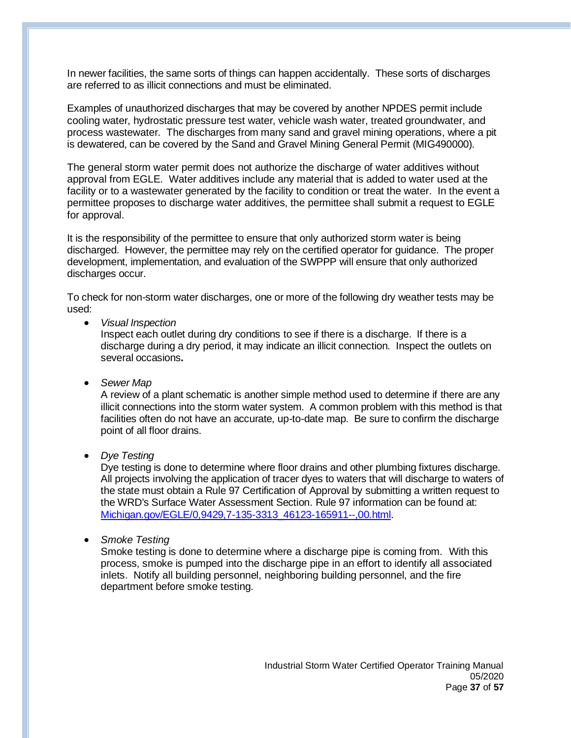In newer facilities, the same sorts of things can happen accidentally. These sorts of discharges are referred to as illicit connections and must be eliminated.

Examples of unauthorized discharges that may be covered by another NPDES permit include cooling water, hydrostatic pressure test water, vehicle wash water, treated groundwater, and process wastewater. The discharges from many sand and gravel mining operations, where a pit is dewatered, can be covered by the Sand and Gravel Mining General Permit (MIG490000).

The general storm water permit does not authorize the discharge of water additives without approval from EGLE. Water additives include any material that is added to water used at the facility or to a wastewater generated by the facility to condition or treat the water. In the event a permittee proposes to discharge water additives, the permittee shall submit a request to EGLE for approval.

It is the responsibility of the permittee to ensure that only authorized storm water is being discharged. However, the permittee may rely on the certified operator for guidance. The proper development, implementation, and evaluation of the SWPPP will ensure that only authorized discharges occur.

To check for non-storm water discharges, one or more of the following dry weather tests may be used:

• *Visual Inspection*

Inspect each outlet during dry conditions to see if there is a discharge. If there is a discharge during a dry period, it may indicate an illicit connection. Inspect the outlets on several occasions**.**

• *Sewer Map*

A review of a plant schematic is another simple method used to determine if there are any illicit connections into the storm water system. A common problem with this method is that facilities often do not have an accurate, up-to-date map. Be sure to confirm the discharge point of all floor drains.

• *Dye Testing*

Dye testing is done to determine where floor drains and other plumbing fixtures discharge. All projects involving the application of tracer dyes to waters that will discharge to waters of the state must obtain a Rule 97 Certification of Approval by submitting a written request to the WRD's Surface Water Assessment Section. Rule 97 information can be found at: [Michigan.gov/EGLE/0,9429,7-135-3313\\_46123-165911--,00.html.](https://www.michigan.gov/egle/0,9429,7-135-3313_46123-165911--,00.html)

• *Smoke Testing*

Smoke testing is done to determine where a discharge pipe is coming from. With this process, smoke is pumped into the discharge pipe in an effort to identify all associated inlets. Notify all building personnel, neighboring building personnel, and the fire department before smoke testing.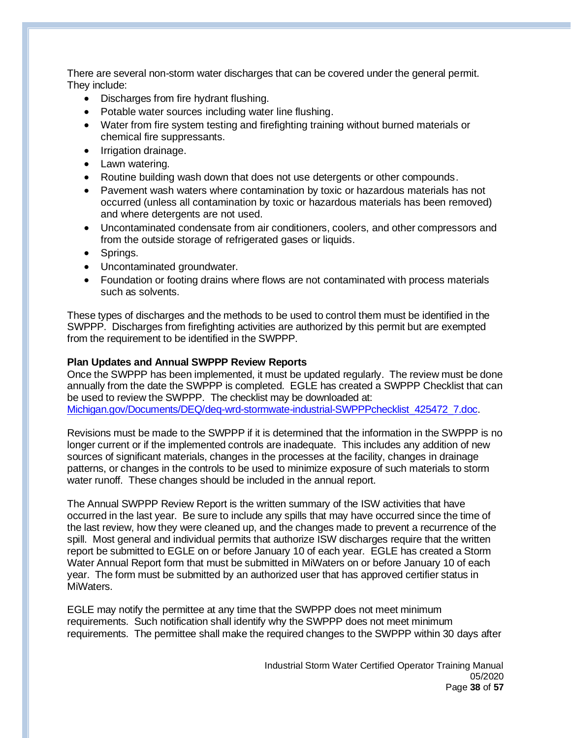There are several non-storm water discharges that can be covered under the general permit. They include:

- Discharges from fire hydrant flushing.
- Potable water sources including water line flushing.
- Water from fire system testing and firefighting training without burned materials or chemical fire suppressants.
- Irrigation drainage.
- Lawn watering.
- Routine building wash down that does not use detergents or other compounds.
- Pavement wash waters where contamination by toxic or hazardous materials has not occurred (unless all contamination by toxic or hazardous materials has been removed) and where detergents are not used.
- Uncontaminated condensate from air conditioners, coolers, and other compressors and from the outside storage of refrigerated gases or liquids.
- Springs.
- Uncontaminated groundwater.
- Foundation or footing drains where flows are not contaminated with process materials such as solvents.

These types of discharges and the methods to be used to control them must be identified in the SWPPP. Discharges from firefighting activities are authorized by this permit but are exempted from the requirement to be identified in the SWPPP.

# **Plan Updates and Annual SWPPP Review Reports**

Once the SWPPP has been implemented, it must be updated regularly. The review must be done annually from the date the SWPPP is completed. EGLE has created a SWPPP Checklist that can be used to review the SWPPP. The checklist may be downloaded at: [Michigan.gov/Documents/DEQ/deq-wrd-stormwate-industrial-SWPPPchecklist\\_425472\\_7.doc.](http://www.michigan.gov/documents/deq/deq-wrd-stormwate-industrial-SWPPPchecklist_425472_7.doc)

Revisions must be made to the SWPPP if it is determined that the information in the SWPPP is no longer current or if the implemented controls are inadequate. This includes any addition of new sources of significant materials, changes in the processes at the facility, changes in drainage patterns, or changes in the controls to be used to minimize exposure of such materials to storm water runoff. These changes should be included in the annual report.

The Annual SWPPP Review Report is the written summary of the ISW activities that have occurred in the last year. Be sure to include any spills that may have occurred since the time of the last review, how they were cleaned up, and the changes made to prevent a recurrence of the spill. Most general and individual permits that authorize ISW discharges require that the written report be submitted to EGLE on or before January 10 of each year. EGLE has created a Storm Water Annual Report form that must be submitted in MiWaters on or before January 10 of each year. The form must be submitted by an authorized user that has approved certifier status in MiWaters.

EGLE may notify the permittee at any time that the SWPPP does not meet minimum requirements. Such notification shall identify why the SWPPP does not meet minimum requirements. The permittee shall make the required changes to the SWPPP within 30 days after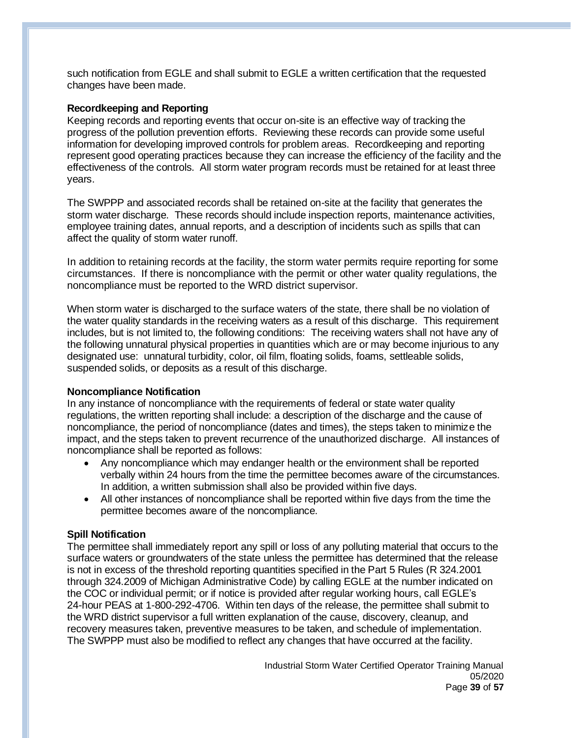such notification from EGLE and shall submit to EGLE a written certification that the requested changes have been made.

### **Recordkeeping and Reporting**

Keeping records and reporting events that occur on-site is an effective way of tracking the progress of the pollution prevention efforts. Reviewing these records can provide some useful information for developing improved controls for problem areas. Recordkeeping and reporting represent good operating practices because they can increase the efficiency of the facility and the effectiveness of the controls. All storm water program records must be retained for at least three years.

The SWPPP and associated records shall be retained on-site at the facility that generates the storm water discharge. These records should include inspection reports, maintenance activities, employee training dates, annual reports, and a description of incidents such as spills that can affect the quality of storm water runoff.

In addition to retaining records at the facility, the storm water permits require reporting for some circumstances. If there is noncompliance with the permit or other water quality regulations, the noncompliance must be reported to the WRD district supervisor.

When storm water is discharged to the surface waters of the state, there shall be no violation of the water quality standards in the receiving waters as a result of this discharge. This requirement includes, but is not limited to, the following conditions: The receiving waters shall not have any of the following unnatural physical properties in quantities which are or may become injurious to any designated use: unnatural turbidity, color, oil film, floating solids, foams, settleable solids, suspended solids, or deposits as a result of this discharge.

# **Noncompliance Notification**

In any instance of noncompliance with the requirements of federal or state water quality regulations, the written reporting shall include: a description of the discharge and the cause of noncompliance, the period of noncompliance (dates and times), the steps taken to minimize the impact, and the steps taken to prevent recurrence of the unauthorized discharge. All instances of noncompliance shall be reported as follows:

- Any noncompliance which may endanger health or the environment shall be reported verbally within 24 hours from the time the permittee becomes aware of the circumstances. In addition, a written submission shall also be provided within five days.
- All other instances of noncompliance shall be reported within five days from the time the permittee becomes aware of the noncompliance.

# **Spill Notification**

The permittee shall immediately report any spill or loss of any polluting material that occurs to the surface waters or groundwaters of the state unless the permittee has determined that the release is not in excess of the threshold reporting quantities specified in the Part 5 Rules (R 324.2001 through 324.2009 of Michigan Administrative Code) by calling EGLE at the number indicated on the COC or individual permit; or if notice is provided after regular working hours, call EGLE's 24-hour PEAS at 1-800-292-4706. Within ten days of the release, the permittee shall submit to the WRD district supervisor a full written explanation of the cause, discovery, cleanup, and recovery measures taken, preventive measures to be taken, and schedule of implementation. The SWPPP must also be modified to reflect any changes that have occurred at the facility.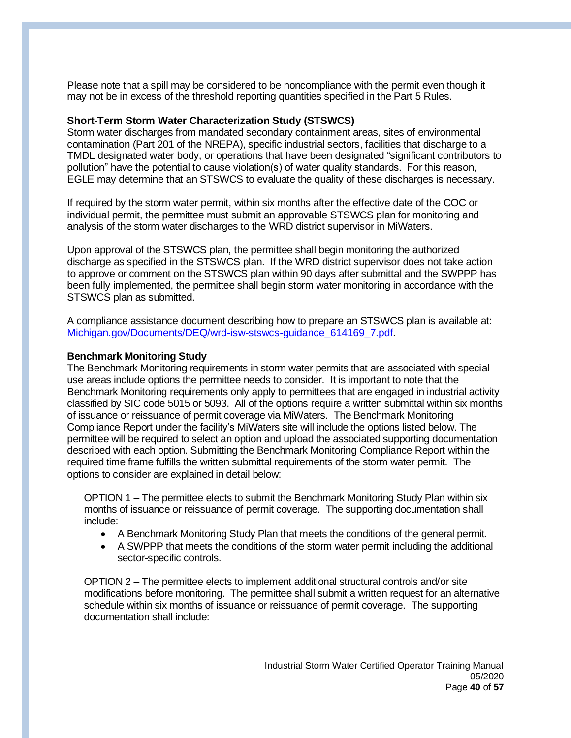Please note that a spill may be considered to be noncompliance with the permit even though it may not be in excess of the threshold reporting quantities specified in the Part 5 Rules.

## **Short-Term Storm Water Characterization Study (STSWCS)**

Storm water discharges from mandated secondary containment areas, sites of environmental contamination (Part 201 of the NREPA), specific industrial sectors, facilities that discharge to a TMDL designated water body, or operations that have been designated "significant contributors to pollution" have the potential to cause violation(s) of water quality standards. For this reason, EGLE may determine that an STSWCS to evaluate the quality of these discharges is necessary.

If required by the storm water permit, within six months after the effective date of the COC or individual permit, the permittee must submit an approvable STSWCS plan for monitoring and analysis of the storm water discharges to the WRD district supervisor in MiWaters.

Upon approval of the STSWCS plan, the permittee shall begin monitoring the authorized discharge as specified in the STSWCS plan. If the WRD district supervisor does not take action to approve or comment on the STSWCS plan within 90 days after submittal and the SWPPP has been fully implemented, the permittee shall begin storm water monitoring in accordance with the STSWCS plan as submitted.

A compliance assistance document describing how to prepare an STSWCS plan is available at: [Michigan.gov/Documents/DEQ/wrd-isw-stswcs-guidance\\_614169\\_7.pdf.](https://www.michigan.gov/documents/deq/wrd-isw-stswcs-guidance_614169_7.pdf)

## **Benchmark Monitoring Study**

The Benchmark Monitoring requirements in storm water permits that are associated with special use areas include options the permittee needs to consider. It is important to note that the Benchmark Monitoring requirements only apply to permittees that are engaged in industrial activity classified by SIC code 5015 or 5093. All of the options require a written submittal within six months of issuance or reissuance of permit coverage via MiWaters. The Benchmark Monitoring Compliance Report under the facility's MiWaters site will include the options listed below. The permittee will be required to select an option and upload the associated supporting documentation described with each option. Submitting the Benchmark Monitoring Compliance Report within the required time frame fulfills the written submittal requirements of the storm water permit. The options to consider are explained in detail below:

OPTION 1 – The permittee elects to submit the Benchmark Monitoring Study Plan within six months of issuance or reissuance of permit coverage. The supporting documentation shall include:

- A Benchmark Monitoring Study Plan that meets the conditions of the general permit.
- A SWPPP that meets the conditions of the storm water permit including the additional sector-specific controls.

OPTION 2 – The permittee elects to implement additional structural controls and/or site modifications before monitoring. The permittee shall submit a written request for an alternative schedule within six months of issuance or reissuance of permit coverage. The supporting documentation shall include: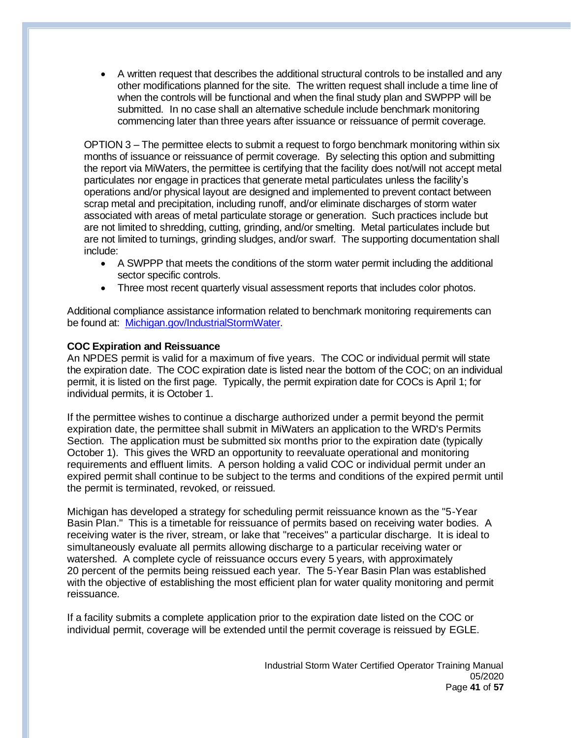• A written request that describes the additional structural controls to be installed and any other modifications planned for the site. The written request shall include a time line of when the controls will be functional and when the final study plan and SWPPP will be submitted. In no case shall an alternative schedule include benchmark monitoring commencing later than three years after issuance or reissuance of permit coverage.

OPTION 3 – The permittee elects to submit a request to forgo benchmark monitoring within six months of issuance or reissuance of permit coverage. By selecting this option and submitting the report via MiWaters, the permittee is certifying that the facility does not/will not accept metal particulates nor engage in practices that generate metal particulates unless the facility's operations and/or physical layout are designed and implemented to prevent contact between scrap metal and precipitation, including runoff, and/or eliminate discharges of storm water associated with areas of metal particulate storage or generation. Such practices include but are not limited to shredding, cutting, grinding, and/or smelting. Metal particulates include but are not limited to turnings, grinding sludges, and/or swarf. The supporting documentation shall include:

- A SWPPP that meets the conditions of the storm water permit including the additional sector specific controls.
- Three most recent quarterly visual assessment reports that includes color photos.

Additional compliance assistance information related to benchmark monitoring requirements can be found at: [Michigan.gov/IndustrialStormWater.](https://www.michigan.gov/egle/0,9429,7-135-3313_71618_3682_3716-24018--,00.html)

# **COC Expiration and Reissuance**

An NPDES permit is valid for a maximum of five years. The COC or individual permit will state the expiration date. The COC expiration date is listed near the bottom of the COC; on an individual permit, it is listed on the first page. Typically, the permit expiration date for COCs is April 1; for individual permits, it is October 1.

If the permittee wishes to continue a discharge authorized under a permit beyond the permit expiration date, the permittee shall submit in MiWaters an application to the WRD's Permits Section. The application must be submitted six months prior to the expiration date (typically October 1). This gives the WRD an opportunity to reevaluate operational and monitoring requirements and effluent limits. A person holding a valid COC or individual permit under an expired permit shall continue to be subject to the terms and conditions of the expired permit until the permit is terminated, revoked, or reissued.

Michigan has developed a strategy for scheduling permit reissuance known as the "5-Year Basin Plan." This is a timetable for reissuance of permits based on receiving water bodies. A receiving water is the river, stream, or lake that "receives" a particular discharge. It is ideal to simultaneously evaluate all permits allowing discharge to a particular receiving water or watershed. A complete cycle of reissuance occurs every 5 years, with approximately 20 percent of the permits being reissued each year. The 5-Year Basin Plan was established with the objective of establishing the most efficient plan for water quality monitoring and permit reissuance.

If a facility submits a complete application prior to the expiration date listed on the COC or individual permit, coverage will be extended until the permit coverage is reissued by EGLE.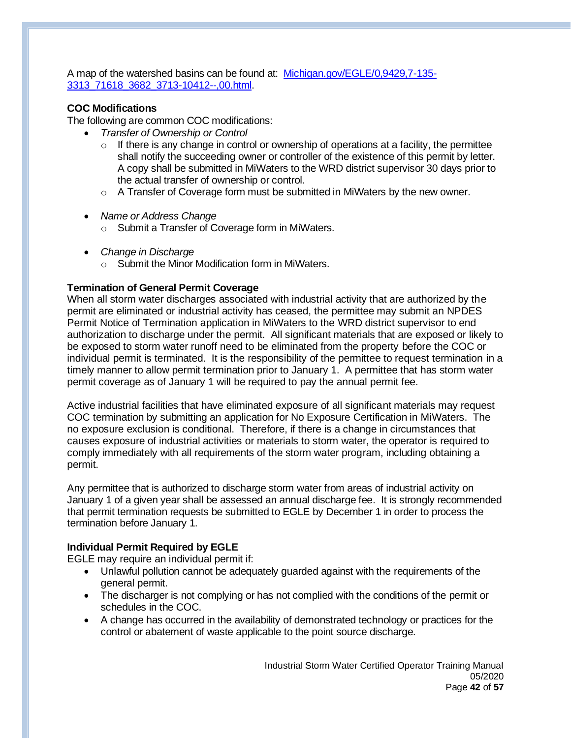A map of the watershed basins can be found at: [Michigan.gov/EGLE/0,9429,7-135-](https://www.michigan.gov/egle/0,9429,7-135-3313_71618_3682_3713-10412--,00.html) [3313\\_71618\\_3682\\_3713-10412--,00.html.](https://www.michigan.gov/egle/0,9429,7-135-3313_71618_3682_3713-10412--,00.html)

# **COC Modifications**

The following are common COC modifications:

- *Transfer of Ownership or Control*
	- $\circ$  If there is any change in control or ownership of operations at a facility, the permittee shall notify the succeeding owner or controller of the existence of this permit by letter. A copy shall be submitted in MiWaters to the WRD district supervisor 30 days prior to the actual transfer of ownership or control.
	- $\circ$  A Transfer of Coverage form must be submitted in MiWaters by the new owner.
- *Name or Address Change*
	- o Submit a Transfer of Coverage form in MiWaters.
- *Change in Discharge*
	- o Submit the Minor Modification form in MiWaters.

# **Termination of General Permit Coverage**

When all storm water discharges associated with industrial activity that are authorized by the permit are eliminated or industrial activity has ceased, the permittee may submit an NPDES Permit Notice of Termination application in MiWaters to the WRD district supervisor to end authorization to discharge under the permit. All significant materials that are exposed or likely to be exposed to storm water runoff need to be eliminated from the property before the COC or individual permit is terminated. It is the responsibility of the permittee to request termination in a timely manner to allow permit termination prior to January 1. A permittee that has storm water permit coverage as of January 1 will be required to pay the annual permit fee.

Active industrial facilities that have eliminated exposure of all significant materials may request COC termination by submitting an application for No Exposure Certification in MiWaters. The no exposure exclusion is conditional. Therefore, if there is a change in circumstances that causes exposure of industrial activities or materials to storm water, the operator is required to comply immediately with all requirements of the storm water program, including obtaining a permit.

Any permittee that is authorized to discharge storm water from areas of industrial activity on January 1 of a given year shall be assessed an annual discharge fee. It is strongly recommended that permit termination requests be submitted to EGLE by December 1 in order to process the termination before January 1.

# **Individual Permit Required by EGLE**

EGLE may require an individual permit if:

- Unlawful pollution cannot be adequately guarded against with the requirements of the general permit.
- The discharger is not complying or has not complied with the conditions of the permit or schedules in the COC.
- A change has occurred in the availability of demonstrated technology or practices for the control or abatement of waste applicable to the point source discharge.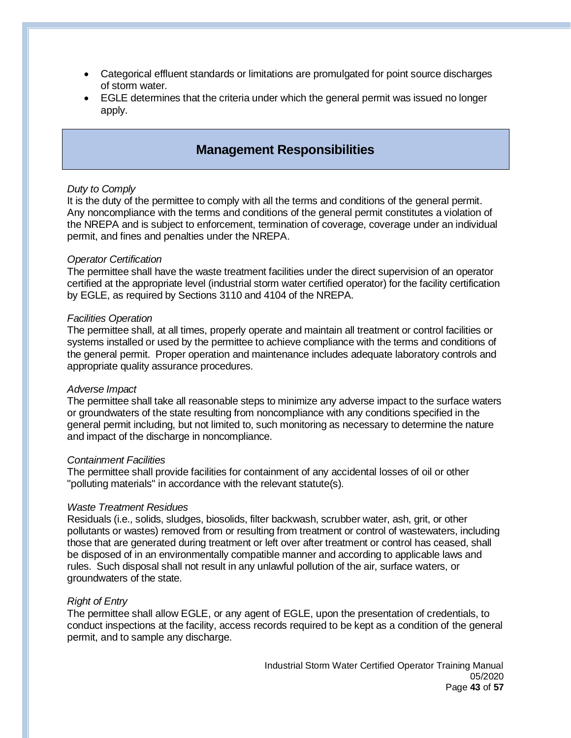- Categorical effluent standards or limitations are promulgated for point source discharges of storm water.
- EGLE determines that the criteria under which the general permit was issued no longer apply.

# **Management Responsibilities**

#### *Duty to Comply*

It is the duty of the permittee to comply with all the terms and conditions of the general permit. Any noncompliance with the terms and conditions of the general permit constitutes a violation of the NREPA and is subject to enforcement, termination of coverage, coverage under an individual permit, and fines and penalties under the NREPA.

#### *Operator Certification*

The permittee shall have the waste treatment facilities under the direct supervision of an operator certified at the appropriate level (industrial storm water certified operator) for the facility certification by EGLE, as required by Sections 3110 and 4104 of the NREPA.

#### *Facilities Operation*

The permittee shall, at all times, properly operate and maintain all treatment or control facilities or systems installed or used by the permittee to achieve compliance with the terms and conditions of the general permit. Proper operation and maintenance includes adequate laboratory controls and appropriate quality assurance procedures.

#### *Adverse Impact*

The permittee shall take all reasonable steps to minimize any adverse impact to the surface waters or groundwaters of the state resulting from noncompliance with any conditions specified in the general permit including, but not limited to, such monitoring as necessary to determine the nature and impact of the discharge in noncompliance.

#### *Containment Facilities*

The permittee shall provide facilities for containment of any accidental losses of oil or other "polluting materials" in accordance with the relevant statute(s).

#### *Waste Treatment Residues*

Residuals (i.e., solids, sludges, biosolids, filter backwash, scrubber water, ash, grit, or other pollutants or wastes) removed from or resulting from treatment or control of wastewaters, including those that are generated during treatment or left over after treatment or control has ceased, shall be disposed of in an environmentally compatible manner and according to applicable laws and rules. Such disposal shall not result in any unlawful pollution of the air, surface waters, or groundwaters of the state.

#### *Right of Entry*

The permittee shall allow EGLE, or any agent of EGLE, upon the presentation of credentials, to conduct inspections at the facility, access records required to be kept as a condition of the general permit, and to sample any discharge.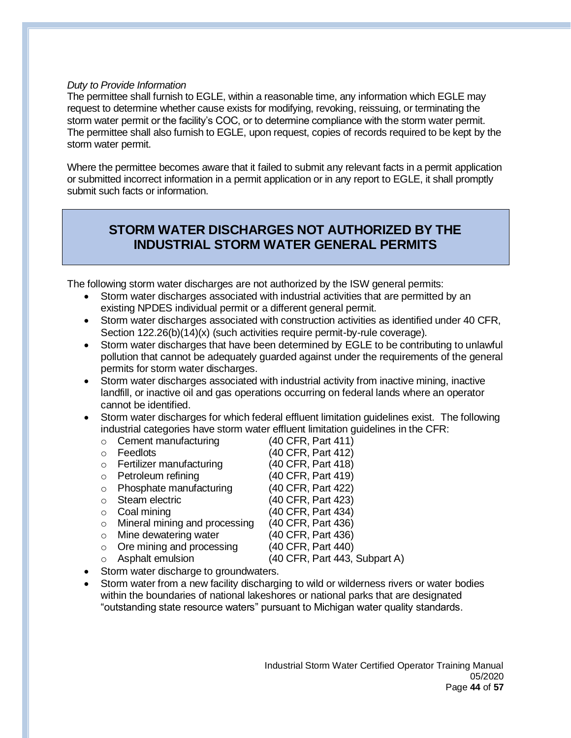### *Duty to Provide Information*

The permittee shall furnish to EGLE, within a reasonable time, any information which EGLE may request to determine whether cause exists for modifying, revoking, reissuing, or terminating the storm water permit or the facility's COC, or to determine compliance with the storm water permit. The permittee shall also furnish to EGLE, upon request, copies of records required to be kept by the storm water permit.

Where the permittee becomes aware that it failed to submit any relevant facts in a permit application or submitted incorrect information in a permit application or in any report to EGLE, it shall promptly submit such facts or information.

# **STORM WATER DISCHARGES NOT AUTHORIZED BY THE INDUSTRIAL STORM WATER GENERAL PERMITS**

The following storm water discharges are not authorized by the ISW general permits:

- Storm water discharges associated with industrial activities that are permitted by an existing NPDES individual permit or a different general permit.
- Storm water discharges associated with construction activities as identified under 40 CFR, Section 122.26(b)(14)(x) (such activities require permit-by-rule coverage).
- Storm water discharges that have been determined by EGLE to be contributing to unlawful pollution that cannot be adequately guarded against under the requirements of the general permits for storm water discharges.
- Storm water discharges associated with industrial activity from inactive mining, inactive landfill, or inactive oil and gas operations occurring on federal lands where an operator cannot be identified.
- Storm water discharges for which federal effluent limitation guidelines exist. The following industrial categories have storm water effluent limitation guidelines in the CFR:
	- o Cement manufacturing (40 CFR, Part 411)
	- o Feedlots (40 CFR, Part 412) o Fertilizer manufacturing (40 CFR, Part 418) o Petroleum refining (40 CFR, Part 419) o Phosphate manufacturing (40 CFR, Part 422) o Steam electric (40 CFR, Part 423) o Coal mining (40 CFR, Part 434) o Mineral mining and processing (40 CFR, Part 436) o Mine dewatering water (40 CFR, Part 436) o Ore mining and processing (40 CFR, Part 440) o Asphalt emulsion (40 CFR, Part 443, Subpart A) Storm water discharge to groundwaters.
- Storm water from a new facility discharging to wild or wilderness rivers or water bodies within the boundaries of national lakeshores or national parks that are designated "outstanding state resource waters" pursuant to Michigan water quality standards.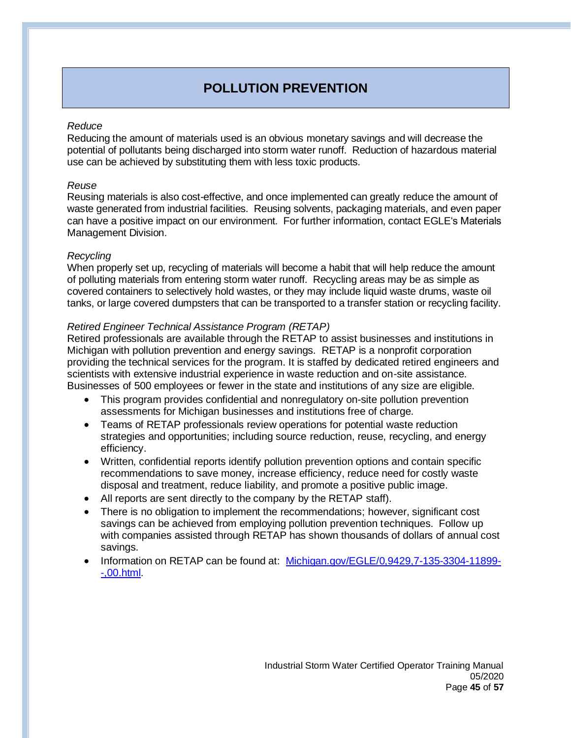# **POLLUTION PREVENTION**

### *Reduce*

Reducing the amount of materials used is an obvious monetary savings and will decrease the potential of pollutants being discharged into storm water runoff. Reduction of hazardous material use can be achieved by substituting them with less toxic products.

## *Reuse*

Reusing materials is also cost-effective, and once implemented can greatly reduce the amount of waste generated from industrial facilities. Reusing solvents, packaging materials, and even paper can have a positive impact on our environment. For further information, contact EGLE's Materials Management Division.

## *Recycling*

When properly set up, recycling of materials will become a habit that will help reduce the amount of polluting materials from entering storm water runoff. Recycling areas may be as simple as covered containers to selectively hold wastes, or they may include liquid waste drums, waste oil tanks, or large covered dumpsters that can be transported to a transfer station or recycling facility.

# *Retired Engineer Technical Assistance Program (RETAP)*

Retired professionals are available through the RETAP to assist businesses and institutions in Michigan with pollution prevention and energy savings. RETAP is a nonprofit corporation providing the technical services for the program. It is staffed by dedicated retired engineers and scientists with extensive industrial experience in waste reduction and on-site assistance. Businesses of 500 employees or fewer in the state and institutions of any size are eligible.

- This program provides confidential and nonregulatory on-site pollution prevention assessments for Michigan businesses and institutions free of charge.
- Teams of RETAP professionals review operations for potential waste reduction strategies and opportunities; including source reduction, reuse, recycling, and energy efficiency.
- Written, confidential reports identify pollution prevention options and contain specific recommendations to save money, increase efficiency, reduce need for costly waste disposal and treatment, reduce liability, and promote a positive public image.
- All reports are sent directly to the company by the RETAP staff).
- There is no obligation to implement the recommendations; however, significant cost savings can be achieved from employing pollution prevention techniques. Follow up with companies assisted through RETAP has shown thousands of dollars of annual cost savings.
- Information on RETAP can be found at: [Michigan.gov/EGLE/0,9429,7-135-3304-11899-](https://www.michigan.gov/egle/0,9429,7-135-3304-11899--,00.html) [-,00.html.](https://www.michigan.gov/egle/0,9429,7-135-3304-11899--,00.html)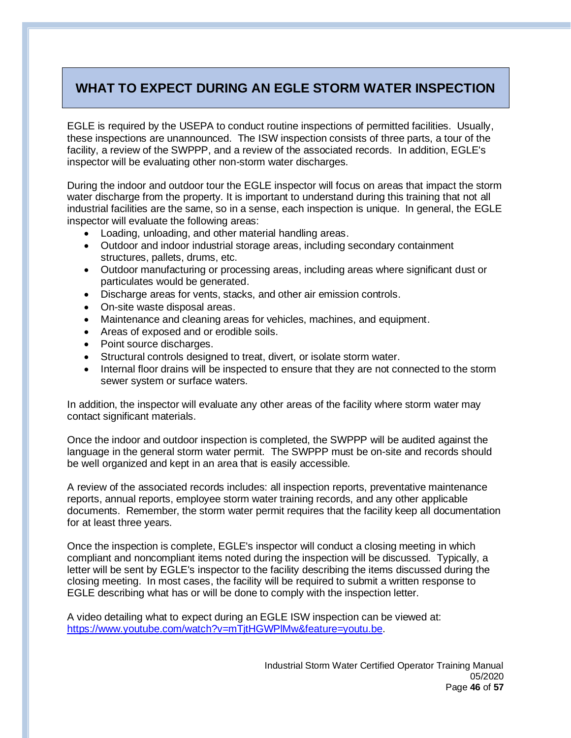# **WHAT TO EXPECT DURING AN EGLE STORM WATER INSPECTION**

EGLE is required by the USEPA to conduct routine inspections of permitted facilities. Usually, these inspections are unannounced. The ISW inspection consists of three parts, a tour of the facility, a review of the SWPPP, and a review of the associated records. In addition, EGLE's inspector will be evaluating other non-storm water discharges.

During the indoor and outdoor tour the EGLE inspector will focus on areas that impact the storm water discharge from the property. It is important to understand during this training that not all industrial facilities are the same, so in a sense, each inspection is unique. In general, the EGLE inspector will evaluate the following areas:

- Loading, unloading, and other material handling areas.
- Outdoor and indoor industrial storage areas, including secondary containment structures, pallets, drums, etc.
- Outdoor manufacturing or processing areas, including areas where significant dust or particulates would be generated.
- Discharge areas for vents, stacks, and other air emission controls.
- On-site waste disposal areas.
- Maintenance and cleaning areas for vehicles, machines, and equipment.
- Areas of exposed and or erodible soils.
- Point source discharges.
- Structural controls designed to treat, divert, or isolate storm water.
- Internal floor drains will be inspected to ensure that they are not connected to the storm sewer system or surface waters.

In addition, the inspector will evaluate any other areas of the facility where storm water may contact significant materials.

Once the indoor and outdoor inspection is completed, the SWPPP will be audited against the language in the general storm water permit. The SWPPP must be on-site and records should be well organized and kept in an area that is easily accessible.

A review of the associated records includes: all inspection reports, preventative maintenance reports, annual reports, employee storm water training records, and any other applicable documents. Remember, the storm water permit requires that the facility keep all documentation for at least three years.

Once the inspection is complete, EGLE's inspector will conduct a closing meeting in which compliant and noncompliant items noted during the inspection will be discussed. Typically, a letter will be sent by EGLE's inspector to the facility describing the items discussed during the closing meeting. In most cases, the facility will be required to submit a written response to EGLE describing what has or will be done to comply with the inspection letter.

A video detailing what to expect during an EGLE ISW inspection can be viewed at: [https://www.youtube.com/watch?v=mTjtHGWPlMw&feature=youtu.be.](https://www.youtube.com/watch?v=mTjtHGWPlMw&feature=youtu.be)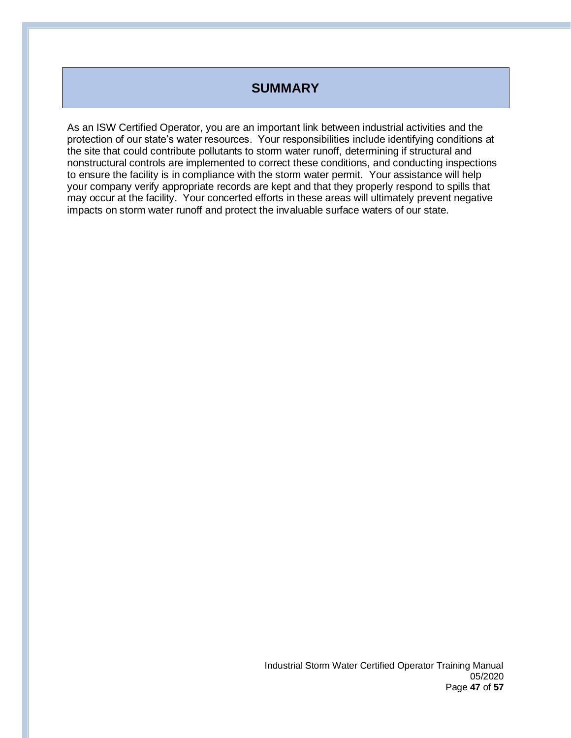# **SUMMARY**

As an ISW Certified Operator, you are an important link between industrial activities and the protection of our state's water resources. Your responsibilities include identifying conditions at the site that could contribute pollutants to storm water runoff, determining if structural and nonstructural controls are implemented to correct these conditions, and conducting inspections to ensure the facility is in compliance with the storm water permit. Your assistance will help your company verify appropriate records are kept and that they properly respond to spills that may occur at the facility. Your concerted efforts in these areas will ultimately prevent negative impacts on storm water runoff and protect the invaluable surface waters of our state.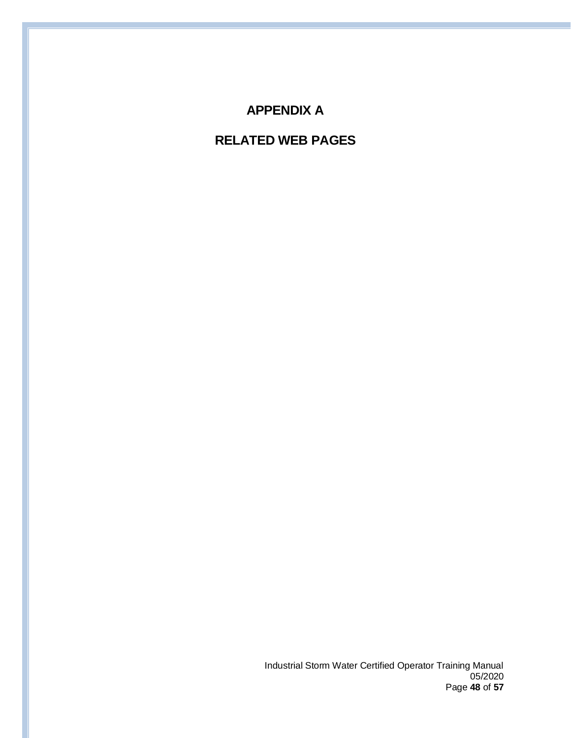# **APPENDIX A**

# **RELATED WEB PAGES**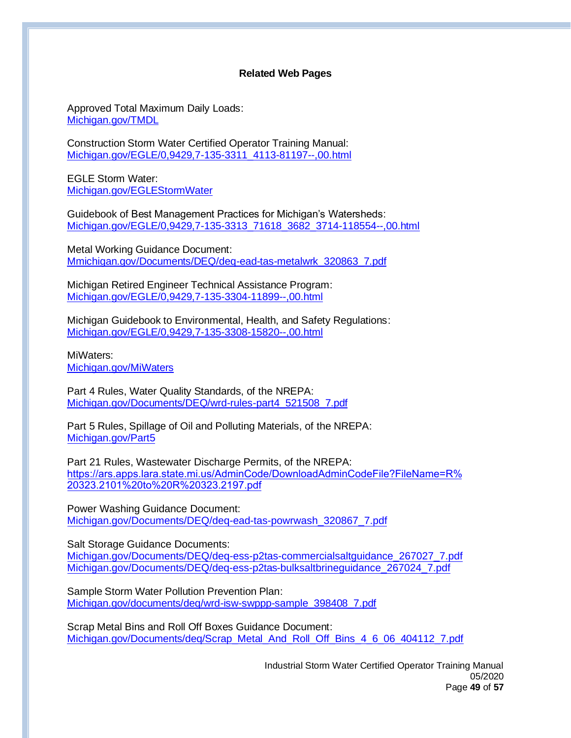### **Related Web Pages**

Approved Total Maximum Daily Loads: [Michigan.gov/TMDL](http://www.michigan.gov/tmdl)

Construction Storm Water Certified Operator Training Manual: [Michigan.gov/EGLE/0,9429,7-135-3311\\_4113-81197--,00.html](https://www.michigan.gov/egle/0,9429,7-135-3311_4113-81197--,00.html)

EGLE Storm Water: [Michigan.gov/EGLEStormWater](http://www.michigan.gov/eglestormwater)

Guidebook of Best Management Practices for Michigan's Watersheds: [Michigan.gov/EGLE/0,9429,7-135-3313\\_71618\\_3682\\_3714-118554--,00.html](https://www.michigan.gov/egle/0,9429,7-135-3313_71618_3682_3714-118554--,00.html)

Metal Working Guidance Document: [Mmichigan.gov/Documents/DEQ/deq-ead-tas-metalwrk\\_320863\\_7.pdf](http://www.michigan.gov/documents/deq/deq-ead-tas-metalwrk_320863_7.pdf)

Michigan Retired Engineer Technical Assistance Program: [Michigan.gov/EGLE/0,9429,7-135-3304-11899--,00.html](https://www.michigan.gov/egle/0,9429,7-135-3304-11899--,00.html)

Michigan Guidebook to Environmental, Health, and Safety Regulations: [Michigan.gov/EGLE/0,9429,7-135-3308-15820--,00.html](https://www.michigan.gov/egle/0,9429,7-135-3308-15820--,00.html)

MiWaters: [Michigan.gov/MiWaters](http://www.michigan.gov/miwaters)

Part 4 Rules, Water Quality Standards, of the NREPA: [Michigan.gov/Documents/DEQ/wrd-rules-part4\\_521508\\_7.pdf](https://www.michigan.gov/documents/deq/wrd-rules-part4_521508_7.pdf)

Part 5 Rules, Spillage of Oil and Polluting Materials, of the NREPA: [Michigan.gov/Part5](http://www.michigan.gov/part5)

Part 21 Rules, Wastewater Discharge Permits, of the NREPA: [https://ars.apps.lara.state.mi.us/AdminCode/DownloadAdminCodeFile?FileName=R%](https://ars.apps.lara.state.mi.us/AdminCode/DownloadAdminCodeFile?FileName=R%20323.2101%20to%20R%20323.2197.pdf) 20323.2101%20to%20R%20323.2197.pdf

Power Washing Guidance Document: [Michigan.gov/Documents/DEQ/deq-ead-tas-powrwash\\_320867\\_7.pdf](http://michigan.gov/documents/deq/deq-ead-tas-powrwash_320867_7.pdf)

Salt Storage Guidance Documents:

[Michigan.gov/Documents/DEQ/deq-ess-p2tas-commercialsaltguidance\\_267027\\_7.pd](http://www.michigan.gov/documents/deq/deq-ess-p2tas-commercialsaltguidance_267027_7.pdf)f [Michigan.gov/Documents/DEQ/deq-ess-p2tas-bulksaltbrineguidance\\_267024\\_7.pdf](http://www.michigan.gov/documents/deq/deq-ess-p2tas-bulksaltbrineguidance_267024_7.pdf)

Sample Storm Water Pollution Prevention Plan: [Michigan.gov/documents/deq/wrd-isw-swppp-sample\\_398408\\_7.pdf](http://www.michigan.gov/documents/deq/wrd-isw-swppp-sample_398408_7.pdf)

Scrap Metal Bins and Roll Off Boxes Guidance Document: [Michigan.gov/Documents/deq/Scrap\\_Metal\\_And\\_Roll\\_Off\\_Bins\\_4\\_6\\_06\\_404112\\_7.pdf](http://michigan.gov/documents/deq/Scrap_Metal_And_Roll_Off_Bins_4_6_06_404112_7.pdf)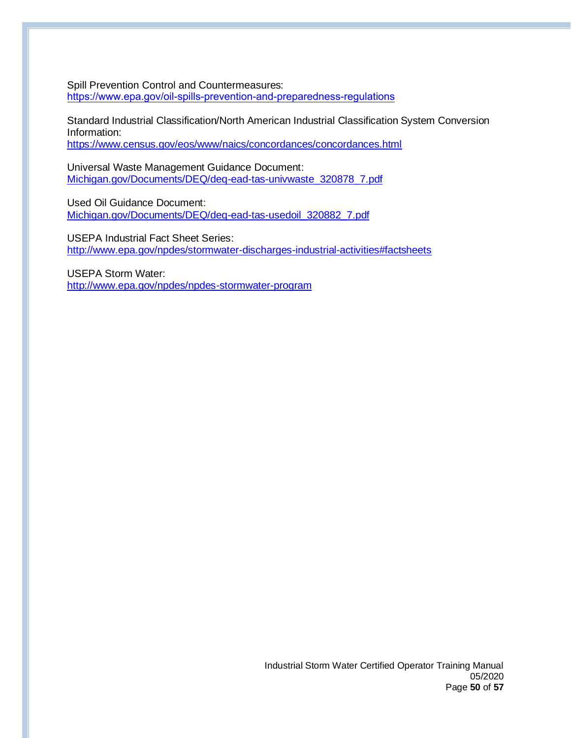Spill Prevention Control and Countermeasures: <https://www.epa.gov/oil-spills-prevention-and-preparedness-regulations>

Standard Industrial Classification/North American Industrial Classification System Conversion Information:

<https://www.census.gov/eos/www/naics/concordances/concordances.html>

Universal Waste Management Guidance Document: [Michigan.gov/Documents/DEQ/deq-ead-tas-univwaste\\_320878\\_7.pdf](http://www.michigan.gov/documents/deq/deq-ead-tas-univwaste_320878_7.pdf)

Used Oil Guidance Document: [Michigan.gov/Documents/DEQ/deq-ead-tas-usedoil\\_320882\\_7.pdf](http://www.michigan.gov/documents/deq/deq-ead-tas-usedoil_320882_7.pdf)

USEPA Industrial Fact Sheet Series: <http://www.epa.gov/npdes/stormwater-discharges-industrial-activities#factsheets>

USEPA Storm Water: <http://www.epa.gov/npdes/npdes-stormwater-program>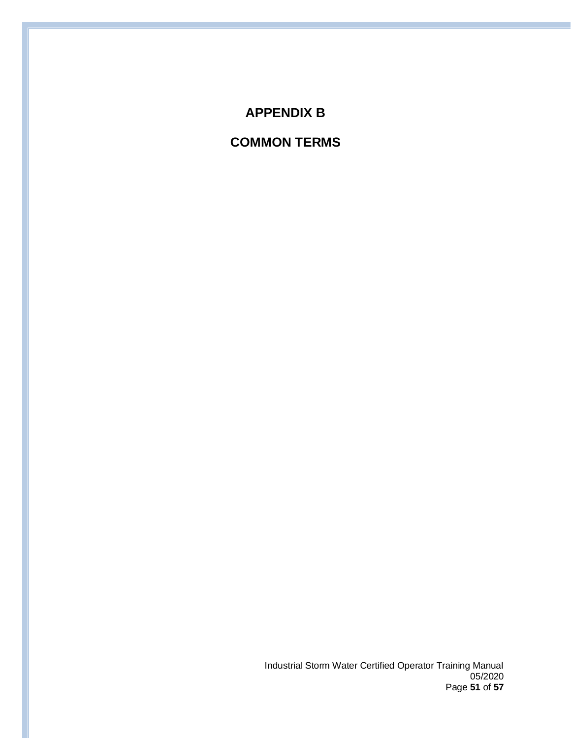# **APPENDIX B**

# **COMMON TERMS**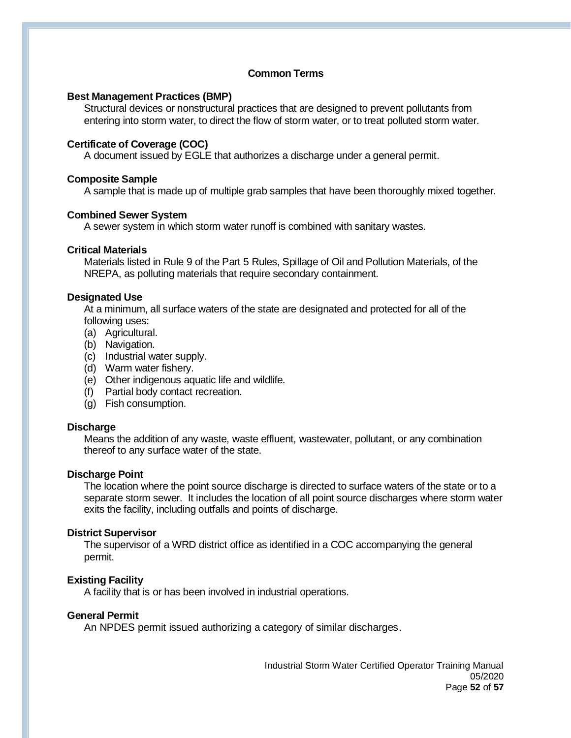# **Common Terms**

#### **Best Management Practices (BMP)**

Structural devices or nonstructural practices that are designed to prevent pollutants from entering into storm water, to direct the flow of storm water, or to treat polluted storm water.

#### **Certificate of Coverage (COC)**

A document issued by EGLE that authorizes a discharge under a general permit.

#### **Composite Sample**

A sample that is made up of multiple grab samples that have been thoroughly mixed together.

#### **Combined Sewer System**

A sewer system in which storm water runoff is combined with sanitary wastes.

#### **Critical Materials**

Materials listed in Rule 9 of the Part 5 Rules, Spillage of Oil and Pollution Materials, of the NREPA, as polluting materials that require secondary containment.

#### **Designated Use**

At a minimum, all surface waters of the state are designated and protected for all of the following uses:

- (a) Agricultural.
- (b) Navigation.
- (c) Industrial water supply.
- (d) Warm water fishery.
- (e) Other indigenous aquatic life and wildlife.
- (f) Partial body contact recreation.
- (g) Fish consumption.

#### **Discharge**

Means the addition of any waste, waste effluent, wastewater, pollutant, or any combination thereof to any surface water of the state.

#### **Discharge Point**

The location where the point source discharge is directed to surface waters of the state or to a separate storm sewer. It includes the location of all point source discharges where storm water exits the facility, including outfalls and points of discharge.

#### **District Supervisor**

The supervisor of a WRD district office as identified in a COC accompanying the general permit.

# **Existing Facility**

A facility that is or has been involved in industrial operations.

#### **General Permit**

An NPDES permit issued authorizing a category of similar discharges.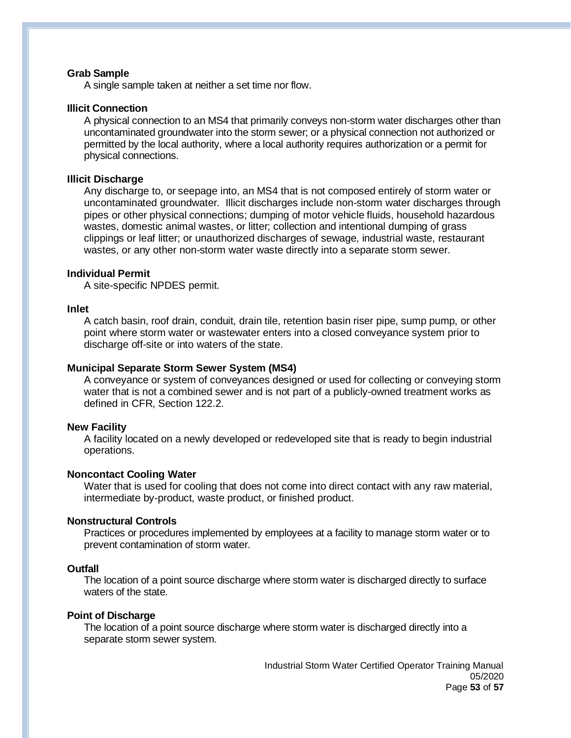#### **Grab Sample**

A single sample taken at neither a set time nor flow.

#### **Illicit Connection**

A physical connection to an MS4 that primarily conveys non-storm water discharges other than uncontaminated groundwater into the storm sewer; or a physical connection not authorized or permitted by the local authority, where a local authority requires authorization or a permit for physical connections.

#### **Illicit Discharge**

Any discharge to, or seepage into, an MS4 that is not composed entirely of storm water or uncontaminated groundwater. Illicit discharges include non-storm water discharges through pipes or other physical connections; dumping of motor vehicle fluids, household hazardous wastes, domestic animal wastes, or litter; collection and intentional dumping of grass clippings or leaf litter; or unauthorized discharges of sewage, industrial waste, restaurant wastes, or any other non-storm water waste directly into a separate storm sewer.

#### **Individual Permit**

A site-specific NPDES permit.

#### **Inlet**

A catch basin, roof drain, conduit, drain tile, retention basin riser pipe, sump pump, or other point where storm water or wastewater enters into a closed conveyance system prior to discharge off-site or into waters of the state.

#### **Municipal Separate Storm Sewer System (MS4)**

A conveyance or system of conveyances designed or used for collecting or conveying storm water that is not a combined sewer and is not part of a publicly-owned treatment works as defined in CFR, Section 122.2.

#### **New Facility**

A facility located on a newly developed or redeveloped site that is ready to begin industrial operations.

#### **Noncontact Cooling Water**

Water that is used for cooling that does not come into direct contact with any raw material, intermediate by-product, waste product, or finished product.

#### **Nonstructural Controls**

Practices or procedures implemented by employees at a facility to manage storm water or to prevent contamination of storm water.

#### **Outfall**

The location of a point source discharge where storm water is discharged directly to surface waters of the state.

#### **Point of Discharge**

The location of a point source discharge where storm water is discharged directly into a separate storm sewer system.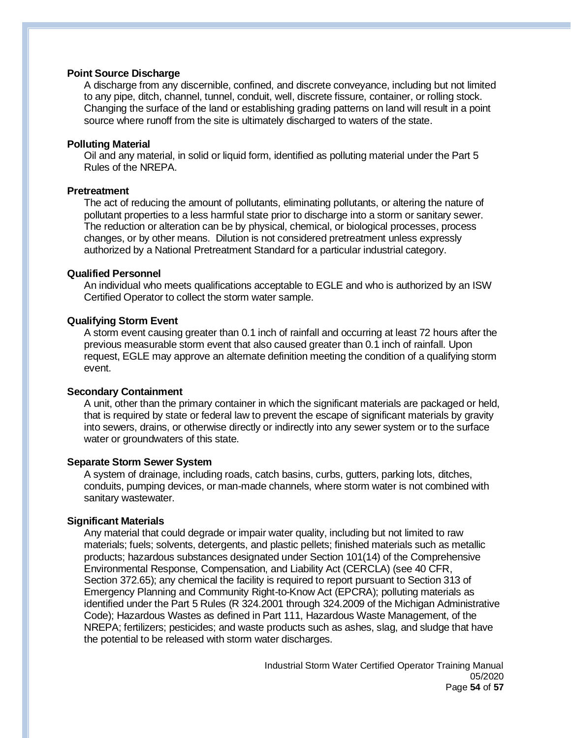### **Point Source Discharge**

A discharge from any discernible, confined, and discrete conveyance, including but not limited to any pipe, ditch, channel, tunnel, conduit, well, discrete fissure, container, or rolling stock. Changing the surface of the land or establishing grading patterns on land will result in a point source where runoff from the site is ultimately discharged to waters of the state.

#### **Polluting Material**

Oil and any material, in solid or liquid form, identified as polluting material under the Part 5 Rules of the NREPA.

#### **Pretreatment**

The act of reducing the amount of pollutants, eliminating pollutants, or altering the nature of pollutant properties to a less harmful state prior to discharge into a storm or sanitary sewer. The reduction or alteration can be by physical, chemical, or biological processes, process changes, or by other means. Dilution is not considered pretreatment unless expressly authorized by a National Pretreatment Standard for a particular industrial category.

#### **Qualified Personnel**

An individual who meets qualifications acceptable to EGLE and who is authorized by an ISW Certified Operator to collect the storm water sample.

#### **Qualifying Storm Event**

A storm event causing greater than 0.1 inch of rainfall and occurring at least 72 hours after the previous measurable storm event that also caused greater than 0.1 inch of rainfall. Upon request, EGLE may approve an alternate definition meeting the condition of a qualifying storm event.

#### **Secondary Containment**

A unit, other than the primary container in which the significant materials are packaged or held, that is required by state or federal law to prevent the escape of significant materials by gravity into sewers, drains, or otherwise directly or indirectly into any sewer system or to the surface water or groundwaters of this state.

#### **Separate Storm Sewer System**

A system of drainage, including roads, catch basins, curbs, gutters, parking lots, ditches, conduits, pumping devices, or man-made channels, where storm water is not combined with sanitary wastewater.

#### **Significant Materials**

Any material that could degrade or impair water quality, including but not limited to raw materials; fuels; solvents, detergents, and plastic pellets; finished materials such as metallic products; hazardous substances designated under Section 101(14) of the Comprehensive Environmental Response, Compensation, and Liability Act (CERCLA) (see 40 CFR, Section 372.65); any chemical the facility is required to report pursuant to Section 313 of Emergency Planning and Community Right-to-Know Act (EPCRA); polluting materials as identified under the Part 5 Rules (R 324.2001 through 324.2009 of the Michigan Administrative Code); Hazardous Wastes as defined in Part 111, Hazardous Waste Management, of the NREPA; fertilizers; pesticides; and waste products such as ashes, slag, and sludge that have the potential to be released with storm water discharges.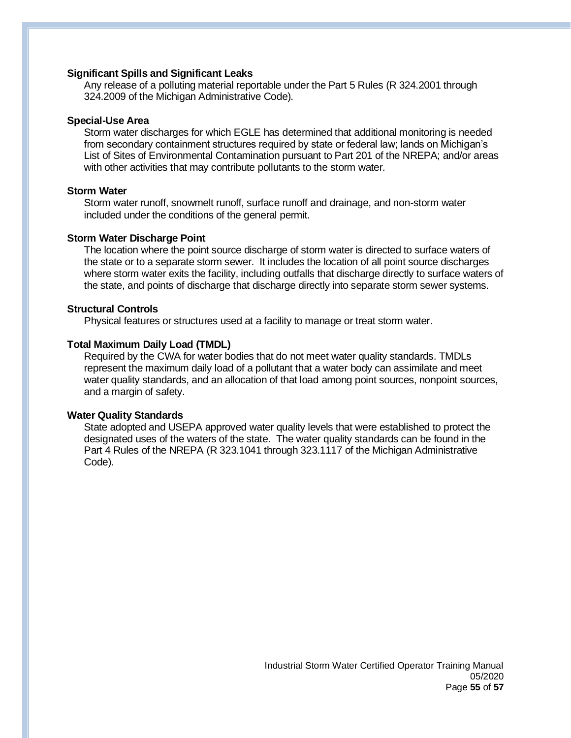#### **Significant Spills and Significant Leaks**

Any release of a polluting material reportable under the Part 5 Rules (R 324.2001 through 324.2009 of the Michigan Administrative Code).

#### **Special-Use Area**

Storm water discharges for which EGLE has determined that additional monitoring is needed from secondary containment structures required by state or federal law; lands on Michigan's List of Sites of Environmental Contamination pursuant to Part 201 of the NREPA; and/or areas with other activities that may contribute pollutants to the storm water.

#### **Storm Water**

Storm water runoff, snowmelt runoff, surface runoff and drainage, and non-storm water included under the conditions of the general permit.

#### **Storm Water Discharge Point**

The location where the point source discharge of storm water is directed to surface waters of the state or to a separate storm sewer. It includes the location of all point source discharges where storm water exits the facility, including outfalls that discharge directly to surface waters of the state, and points of discharge that discharge directly into separate storm sewer systems.

#### **Structural Controls**

Physical features or structures used at a facility to manage or treat storm water.

#### **Total Maximum Daily Load (TMDL)**

Required by the CWA for water bodies that do not meet water quality standards. TMDLs represent the maximum daily load of a pollutant that a water body can assimilate and meet water quality standards, and an allocation of that load among point sources, nonpoint sources, and a margin of safety.

#### **Water Quality Standards**

State adopted and USEPA approved water quality levels that were established to protect the designated uses of the waters of the state. The water quality standards can be found in the Part 4 Rules of the NREPA (R 323.1041 through 323.1117 of the Michigan Administrative Code).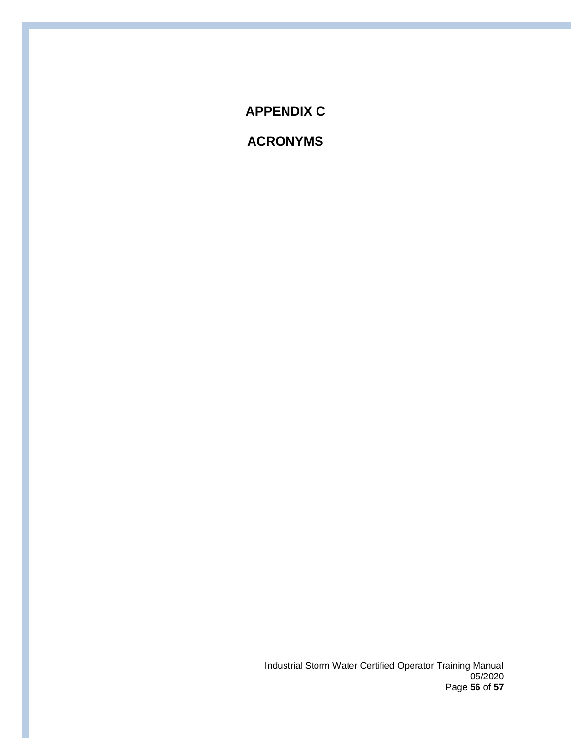**APPENDIX C**

**ACRONYMS**